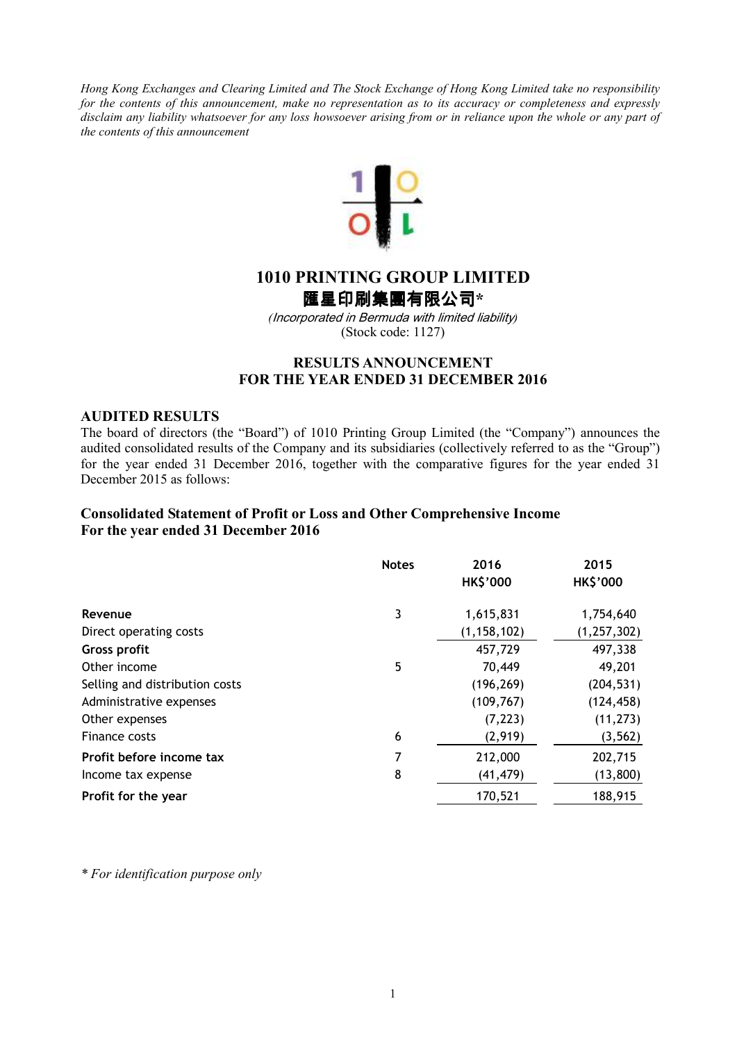*Hong Kong Exchanges and Clearing Limited and The Stock Exchange of Hong Kong Limited take no responsibility for the contents of this announcement, make no representation as to its accuracy or completeness and expressly disclaim any liability whatsoever for any loss howsoever arising from or in reliance upon the whole or any part of the contents of this announcement* 



# **1010 PRINTING GROUP LIMITED**

匯星印刷集團有限公司**\*** 

*(*Incorporated in Bermuda with limited liability*)*  (Stock code: 1127)

# **RESULTS ANNOUNCEMENT FOR THE YEAR ENDED 31 DECEMBER 2016**

### **AUDITED RESULTS**

The board of directors (the "Board") of 1010 Printing Group Limited (the "Company") announces the audited consolidated results of the Company and its subsidiaries (collectively referred to as the "Group") for the year ended 31 December 2016, together with the comparative figures for the year ended 31 December 2015 as follows:

# **Consolidated Statement of Profit or Loss and Other Comprehensive Income For the year ended 31 December 2016**

|                                | <b>Notes</b> | 2016<br><b>HK\$'000</b> | 2015<br><b>HK\$'000</b> |
|--------------------------------|--------------|-------------------------|-------------------------|
| Revenue                        | 3            | 1,615,831               | 1,754,640               |
| Direct operating costs         |              | (1, 158, 102)           | (1, 257, 302)           |
| <b>Gross profit</b>            |              | 457,729                 | 497,338                 |
| Other income                   | 5            | 70,449                  | 49,201                  |
| Selling and distribution costs |              | (196, 269)              | (204, 531)              |
| Administrative expenses        |              | (109, 767)              | (124, 458)              |
| Other expenses                 |              | (7, 223)                | (11, 273)               |
| Finance costs                  | 6            | (2,919)                 | (3, 562)                |
| Profit before income tax       | 7            | 212,000                 | 202,715                 |
| Income tax expense             | 8            | (41, 479)               | (13, 800)               |
| Profit for the year            |              | 170,521                 | 188,915                 |

*\* For identification purpose only*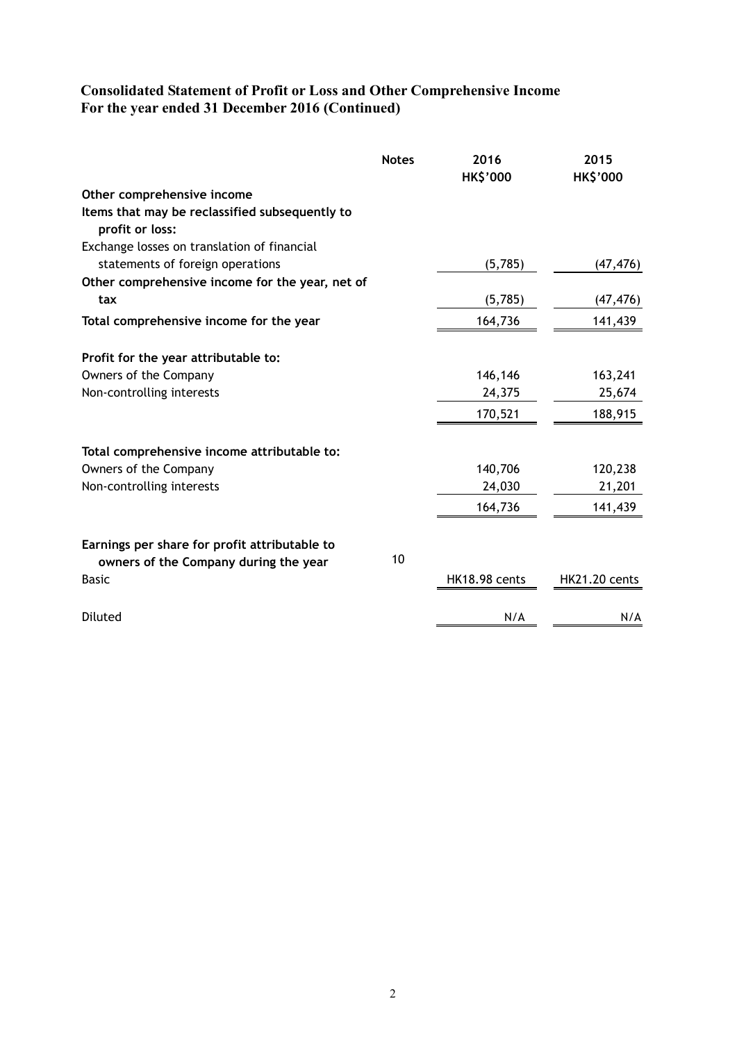# **Consolidated Statement of Profit or Loss and Other Comprehensive Income For the year ended 31 December 2016 (Continued)**

|                                                                   | <b>Notes</b> | 2016<br><b>HK\$'000</b> | 2015<br><b>HK\$'000</b> |
|-------------------------------------------------------------------|--------------|-------------------------|-------------------------|
| Other comprehensive income                                        |              |                         |                         |
| Items that may be reclassified subsequently to<br>profit or loss: |              |                         |                         |
| Exchange losses on translation of financial                       |              |                         |                         |
| statements of foreign operations                                  |              | (5,785)                 | (47, 476)               |
| Other comprehensive income for the year, net of                   |              |                         |                         |
| tax                                                               |              | (5,785)                 | (47, 476)               |
| Total comprehensive income for the year                           |              | 164,736                 | 141,439                 |
| Profit for the year attributable to:                              |              |                         |                         |
| Owners of the Company                                             |              | 146,146                 | 163,241                 |
| Non-controlling interests                                         |              | 24,375                  | 25,674                  |
|                                                                   |              | 170,521                 | 188,915                 |
| Total comprehensive income attributable to:                       |              |                         |                         |
| Owners of the Company                                             |              | 140,706                 | 120,238                 |
| Non-controlling interests                                         |              | 24,030                  | 21,201                  |
|                                                                   |              | 164,736                 | 141,439                 |
| Earnings per share for profit attributable to                     |              |                         |                         |
| owners of the Company during the year                             | 10           |                         |                         |
| <b>Basic</b>                                                      |              | HK18.98 cents           | <b>HK21.20 cents</b>    |
| Diluted                                                           |              | N/A                     | N/A                     |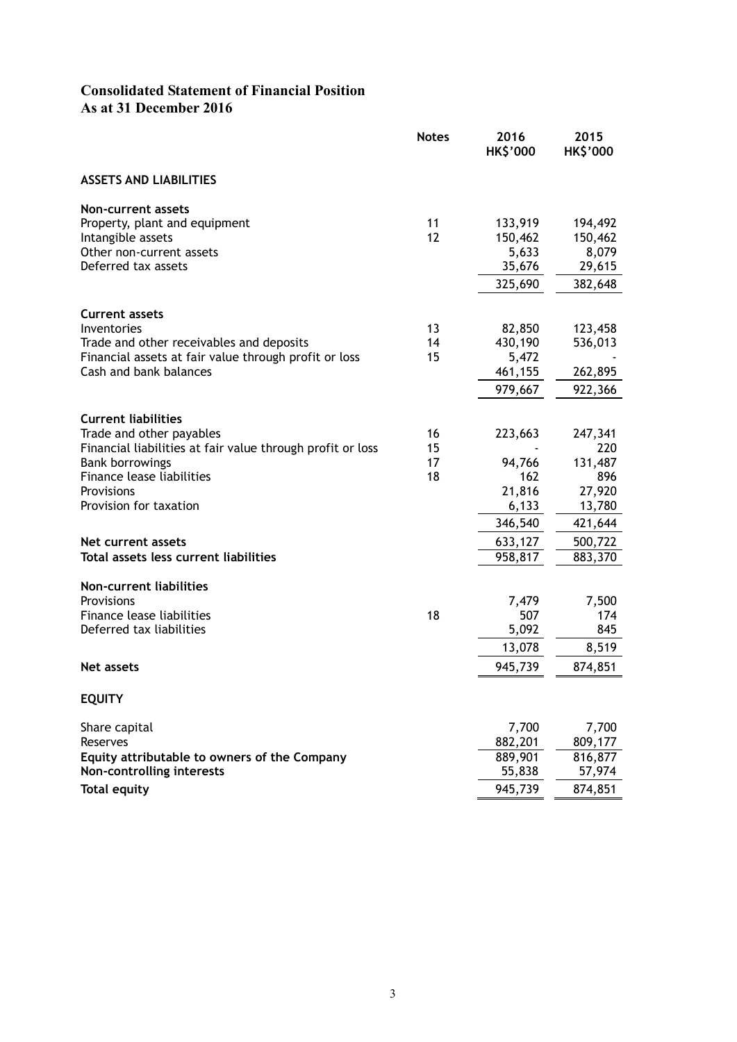# **Consolidated Statement of Financial Position As at 31 December 2016**

|                                                                                                                                                                                                                                           | <b>Notes</b>         | 2016<br><b>HK\$'000</b>                                           | 2015<br><b>HK\$'000</b>                                                    |
|-------------------------------------------------------------------------------------------------------------------------------------------------------------------------------------------------------------------------------------------|----------------------|-------------------------------------------------------------------|----------------------------------------------------------------------------|
| <b>ASSETS AND LIABILITIES</b>                                                                                                                                                                                                             |                      |                                                                   |                                                                            |
| Non-current assets<br>Property, plant and equipment<br>Intangible assets<br>Other non-current assets<br>Deferred tax assets                                                                                                               | 11<br>12             | 133,919<br>150,462<br>5,633<br>35,676<br>325,690                  | 194,492<br>150,462<br>8,079<br>29,615<br>382,648                           |
| <b>Current assets</b><br>Inventories<br>Trade and other receivables and deposits<br>Financial assets at fair value through profit or loss<br>Cash and bank balances                                                                       | 13<br>14<br>15       | 82,850<br>430,190<br>5,472<br>461,155<br>979,667                  | 123,458<br>536,013<br>262,895<br>922,366                                   |
| <b>Current liabilities</b><br>Trade and other payables<br>Financial liabilities at fair value through profit or loss<br><b>Bank borrowings</b><br>Finance lease liabilities<br>Provisions<br>Provision for taxation<br>Net current assets | 16<br>15<br>17<br>18 | 223,663<br>94,766<br>162<br>21,816<br>6,133<br>346,540<br>633,127 | 247,341<br>220<br>131,487<br>896<br>27,920<br>13,780<br>421,644<br>500,722 |
| Total assets less current liabilities                                                                                                                                                                                                     |                      | 958,817                                                           | 883,370                                                                    |
| Non-current liabilities<br>Provisions<br>Finance lease liabilities<br>Deferred tax liabilities                                                                                                                                            | 18                   | 7,479<br>507<br>5,092<br>13,078                                   | 7,500<br>174<br>845<br>8,519                                               |
| Net assets                                                                                                                                                                                                                                |                      | 945,739                                                           | 874,851                                                                    |
| <b>EQUITY</b>                                                                                                                                                                                                                             |                      |                                                                   |                                                                            |
| Share capital<br>Reserves<br>Equity attributable to owners of the Company<br>Non-controlling interests<br><b>Total equity</b>                                                                                                             |                      | 7,700<br>882,201<br>889,901<br>55,838<br>945,739                  | 7,700<br>809,177<br>816,877<br>57,974<br>874,851                           |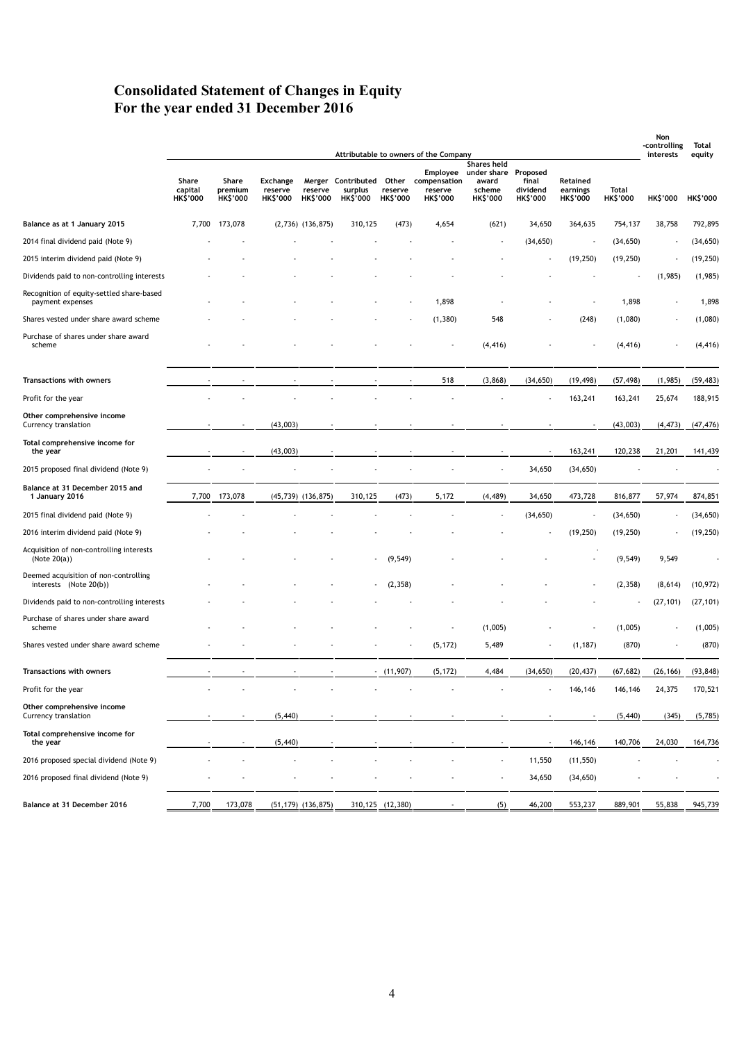# **Consolidated Statement of Changes in Equity For the year ended 31 December 2016**

|                                                                 |                                     |                                     |                                        |                            |                            |                            | Attributable to owners of the Company                               |                                                                                           |                                      |                                         |                          | Non<br>-controlling<br>interests | Total                     |
|-----------------------------------------------------------------|-------------------------------------|-------------------------------------|----------------------------------------|----------------------------|----------------------------|----------------------------|---------------------------------------------------------------------|-------------------------------------------------------------------------------------------|--------------------------------------|-----------------------------------------|--------------------------|----------------------------------|---------------------------|
|                                                                 | Share<br>capital<br><b>HK\$'000</b> | Share<br>premium<br><b>HK\$'000</b> | Exchange<br>reserve<br><b>HK\$'000</b> | reserve<br><b>HK\$'000</b> | surplus<br><b>HK\$'000</b> | reserve<br><b>HK\$'000</b> | Merger Contributed Other compensation<br>reserve<br><b>HK\$'000</b> | <b>Shares held</b><br>Employee under share Proposed<br>award<br>scheme<br><b>HK\$'000</b> | final<br>dividend<br><b>HK\$'000</b> | Retained<br>earnings<br><b>HK\$'000</b> | Total<br><b>HK\$'000</b> | <b>HK\$'000</b>                  | equity<br><b>HK\$'000</b> |
| Balance as at 1 January 2015                                    | 7,700                               | 173,078                             |                                        | $(2,736)$ $(136,875)$      | 310,125                    | (473)                      | 4,654                                                               | (621)                                                                                     | 34,650                               | 364,635                                 | 754,137                  | 38,758                           | 792,895                   |
| 2014 final dividend paid (Note 9)                               |                                     |                                     |                                        |                            |                            |                            |                                                                     |                                                                                           | (34, 650)                            |                                         | (34, 650)                |                                  | (34, 650)                 |
| 2015 interim dividend paid (Note 9)                             |                                     |                                     |                                        |                            |                            |                            |                                                                     |                                                                                           |                                      | (19, 250)                               | (19, 250)                |                                  | (19, 250)                 |
| Dividends paid to non-controlling interests                     |                                     |                                     |                                        |                            |                            |                            |                                                                     |                                                                                           |                                      |                                         |                          | (1,985)                          | (1,985)                   |
| Recognition of equity-settled share-based<br>payment expenses   |                                     |                                     |                                        |                            |                            |                            | 1,898                                                               |                                                                                           |                                      |                                         | 1,898                    |                                  | 1,898                     |
| Shares vested under share award scheme                          |                                     |                                     |                                        |                            |                            |                            | (1, 380)                                                            | 548                                                                                       |                                      | (248)                                   | (1,080)                  |                                  | (1,080)                   |
| Purchase of shares under share award<br>scheme                  |                                     |                                     |                                        |                            |                            |                            |                                                                     | (4, 416)                                                                                  |                                      |                                         | (4, 416)                 |                                  | (4, 416)                  |
| Transactions with owners                                        |                                     |                                     |                                        |                            |                            |                            | 518                                                                 | (3,868)                                                                                   | (34, 650)                            | (19, 498)                               | (57, 498)                | (1,985)                          | (59, 483)                 |
| Profit for the year                                             |                                     |                                     |                                        |                            |                            |                            |                                                                     |                                                                                           |                                      | 163,241                                 | 163,241                  | 25,674                           | 188,915                   |
| Other comprehensive income<br>Currency translation              |                                     |                                     | (43,003)                               |                            |                            |                            |                                                                     |                                                                                           |                                      |                                         | (43,003)                 | (4, 473)                         | (47, 476)                 |
| Total comprehensive income for<br>the year                      |                                     |                                     | (43,003)                               |                            |                            |                            |                                                                     |                                                                                           |                                      | 163,241                                 | 120,238                  | 21,201                           | 141,439                   |
| 2015 proposed final dividend (Note 9)                           |                                     |                                     |                                        |                            |                            |                            |                                                                     |                                                                                           | 34,650                               | (34, 650)                               |                          |                                  |                           |
| Balance at 31 December 2015 and<br>1 January 2016               | 7,700                               | 173,078                             |                                        | $(45,739)$ $(136,875)$     | 310,125                    | (473)                      | 5,172                                                               | (4, 489)                                                                                  | 34,650                               | 473,728                                 | 816,877                  | 57,974                           | 874,851                   |
| 2015 final dividend paid (Note 9)                               |                                     |                                     |                                        |                            |                            |                            |                                                                     |                                                                                           | (34, 650)                            |                                         | (34, 650)                |                                  | (34, 650)                 |
| 2016 interim dividend paid (Note 9)                             |                                     |                                     |                                        |                            |                            |                            |                                                                     |                                                                                           |                                      | (19, 250)                               | (19, 250)                |                                  | (19, 250)                 |
| Acquisition of non-controlling interests<br>(Note $20(a)$ )     |                                     |                                     |                                        |                            |                            | (9, 549)                   |                                                                     |                                                                                           |                                      |                                         | (9, 549)                 | 9,549                            |                           |
| Deemed acquisition of non-controlling<br>interests (Note 20(b)) |                                     |                                     |                                        |                            |                            | (2, 358)                   |                                                                     |                                                                                           |                                      |                                         | (2, 358)                 | (8,614)                          | (10, 972)                 |
| Dividends paid to non-controlling interests                     |                                     |                                     |                                        |                            |                            |                            |                                                                     |                                                                                           |                                      |                                         |                          | (27, 101)                        | (27, 101)                 |
| Purchase of shares under share award<br>scheme                  |                                     |                                     |                                        |                            |                            |                            |                                                                     | (1,005)                                                                                   |                                      |                                         | (1,005)                  |                                  | (1,005)                   |
| Shares vested under share award scheme                          |                                     |                                     |                                        |                            |                            |                            | (5, 172)                                                            | 5,489                                                                                     |                                      | (1, 187)                                | (870)                    |                                  | (870)                     |
| <b>Transactions with owners</b>                                 |                                     |                                     |                                        |                            |                            | (11, 907)                  | (5, 172)                                                            | 4,484                                                                                     | (34, 650)                            | (20, 437)                               | (67, 682)                | (26, 166)                        | (93, 848)                 |
| Profit for the year                                             |                                     |                                     |                                        |                            |                            |                            |                                                                     |                                                                                           |                                      | 146,146                                 | 146,146                  | 24,375                           | 170,521                   |
| Other comprehensive income<br>Currency translation              |                                     |                                     | (5, 440)                               |                            |                            |                            |                                                                     |                                                                                           |                                      |                                         | (5, 440)                 | (345)                            | (5,785)                   |
| Total comprehensive income for<br>the year                      |                                     |                                     | (5, 440)                               |                            |                            |                            |                                                                     |                                                                                           |                                      | 146,146                                 | 140,706                  | 24,030                           | 164,736                   |
| 2016 proposed special dividend (Note 9)                         |                                     |                                     |                                        |                            |                            |                            |                                                                     |                                                                                           | 11,550                               | (11, 550)                               |                          |                                  |                           |
| 2016 proposed final dividend (Note 9)                           |                                     |                                     |                                        |                            |                            |                            |                                                                     |                                                                                           | 34,650                               | (34, 650)                               |                          |                                  |                           |
| Balance at 31 December 2016                                     | 7,700                               | 173,078                             |                                        | $(51, 179)$ $(136, 875)$   |                            | 310, 125 (12, 380)         |                                                                     | (5)                                                                                       | 46,200                               | 553,237                                 | 889,901                  | 55,838                           | 945,739                   |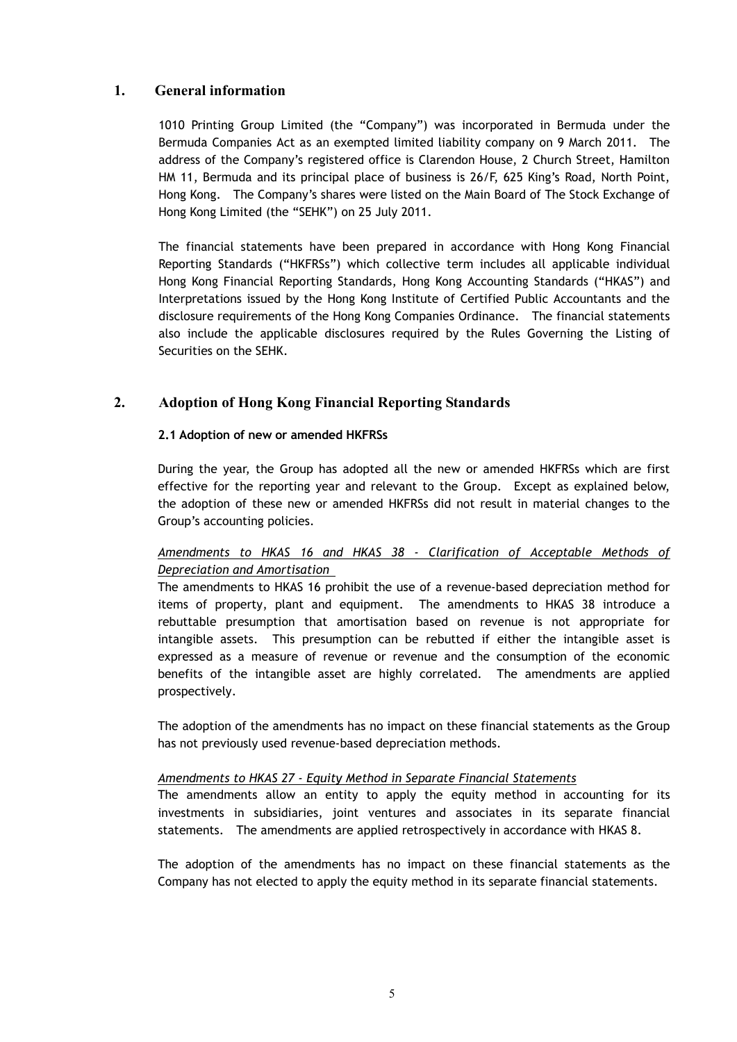# **1. General information**

1010 Printing Group Limited (the "Company") was incorporated in Bermuda under the Bermuda Companies Act as an exempted limited liability company on 9 March 2011. The address of the Company's registered office is Clarendon House, 2 Church Street, Hamilton HM 11, Bermuda and its principal place of business is 26/F, 625 King's Road, North Point, Hong Kong. The Company's shares were listed on the Main Board of The Stock Exchange of Hong Kong Limited (the "SEHK") on 25 July 2011.

The financial statements have been prepared in accordance with Hong Kong Financial Reporting Standards ("HKFRSs") which collective term includes all applicable individual Hong Kong Financial Reporting Standards, Hong Kong Accounting Standards ("HKAS") and Interpretations issued by the Hong Kong Institute of Certified Public Accountants and the disclosure requirements of the Hong Kong Companies Ordinance. The financial statements also include the applicable disclosures required by the Rules Governing the Listing of Securities on the SEHK.

# **2. Adoption of Hong Kong Financial Reporting Standards**

### **2.1 Adoption of new or amended HKFRSs**

During the year, the Group has adopted all the new or amended HKFRSs which are first effective for the reporting year and relevant to the Group. Except as explained below, the adoption of these new or amended HKFRSs did not result in material changes to the Group's accounting policies.

### *Amendments to HKAS 16 and HKAS 38 - Clarification of Acceptable Methods of Depreciation and Amortisation*

The amendments to HKAS 16 prohibit the use of a revenue-based depreciation method for items of property, plant and equipment. The amendments to HKAS 38 introduce a rebuttable presumption that amortisation based on revenue is not appropriate for intangible assets. This presumption can be rebutted if either the intangible asset is expressed as a measure of revenue or revenue and the consumption of the economic benefits of the intangible asset are highly correlated. The amendments are applied prospectively.

The adoption of the amendments has no impact on these financial statements as the Group has not previously used revenue-based depreciation methods.

#### *Amendments to HKAS 27 - Equity Method in Separate Financial Statements*

The amendments allow an entity to apply the equity method in accounting for its investments in subsidiaries, joint ventures and associates in its separate financial statements. The amendments are applied retrospectively in accordance with HKAS 8.

The adoption of the amendments has no impact on these financial statements as the Company has not elected to apply the equity method in its separate financial statements.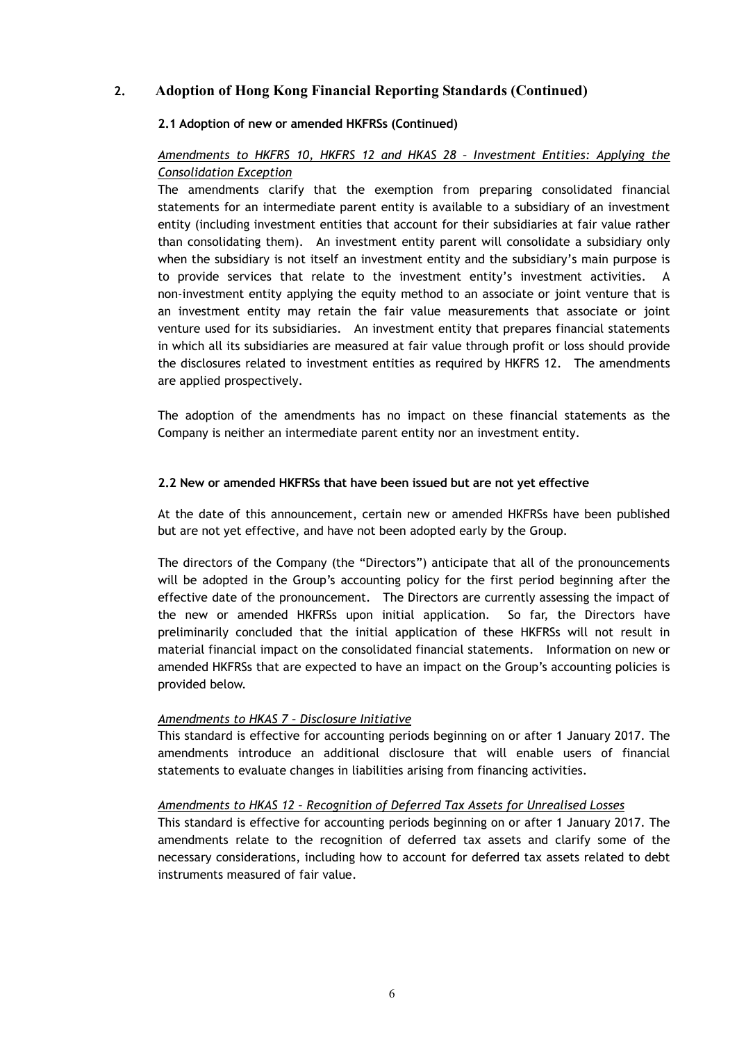### **2.1 Adoption of new or amended HKFRSs (Continued)**

### *Amendments to HKFRS 10, HKFRS 12 and HKAS 28 – Investment Entities: Applying the Consolidation Exception*

The amendments clarify that the exemption from preparing consolidated financial statements for an intermediate parent entity is available to a subsidiary of an investment entity (including investment entities that account for their subsidiaries at fair value rather than consolidating them). An investment entity parent will consolidate a subsidiary only when the subsidiary is not itself an investment entity and the subsidiary's main purpose is to provide services that relate to the investment entity's investment activities. A non-investment entity applying the equity method to an associate or joint venture that is an investment entity may retain the fair value measurements that associate or joint venture used for its subsidiaries. An investment entity that prepares financial statements in which all its subsidiaries are measured at fair value through profit or loss should provide the disclosures related to investment entities as required by HKFRS 12. The amendments are applied prospectively.

The adoption of the amendments has no impact on these financial statements as the Company is neither an intermediate parent entity nor an investment entity.

#### **2.2 New or amended HKFRSs that have been issued but are not yet effective**

At the date of this announcement, certain new or amended HKFRSs have been published but are not yet effective, and have not been adopted early by the Group.

The directors of the Company (the "Directors") anticipate that all of the pronouncements will be adopted in the Group's accounting policy for the first period beginning after the effective date of the pronouncement. The Directors are currently assessing the impact of the new or amended HKFRSs upon initial application. So far, the Directors have preliminarily concluded that the initial application of these HKFRSs will not result in material financial impact on the consolidated financial statements. Information on new or amended HKFRSs that are expected to have an impact on the Group's accounting policies is provided below.

#### *Amendments to HKAS 7 – Disclosure Initiative*

This standard is effective for accounting periods beginning on or after 1 January 2017. The amendments introduce an additional disclosure that will enable users of financial statements to evaluate changes in liabilities arising from financing activities.

#### *Amendments to HKAS 12 – Recognition of Deferred Tax Assets for Unrealised Losses*

This standard is effective for accounting periods beginning on or after 1 January 2017. The amendments relate to the recognition of deferred tax assets and clarify some of the necessary considerations, including how to account for deferred tax assets related to debt instruments measured of fair value.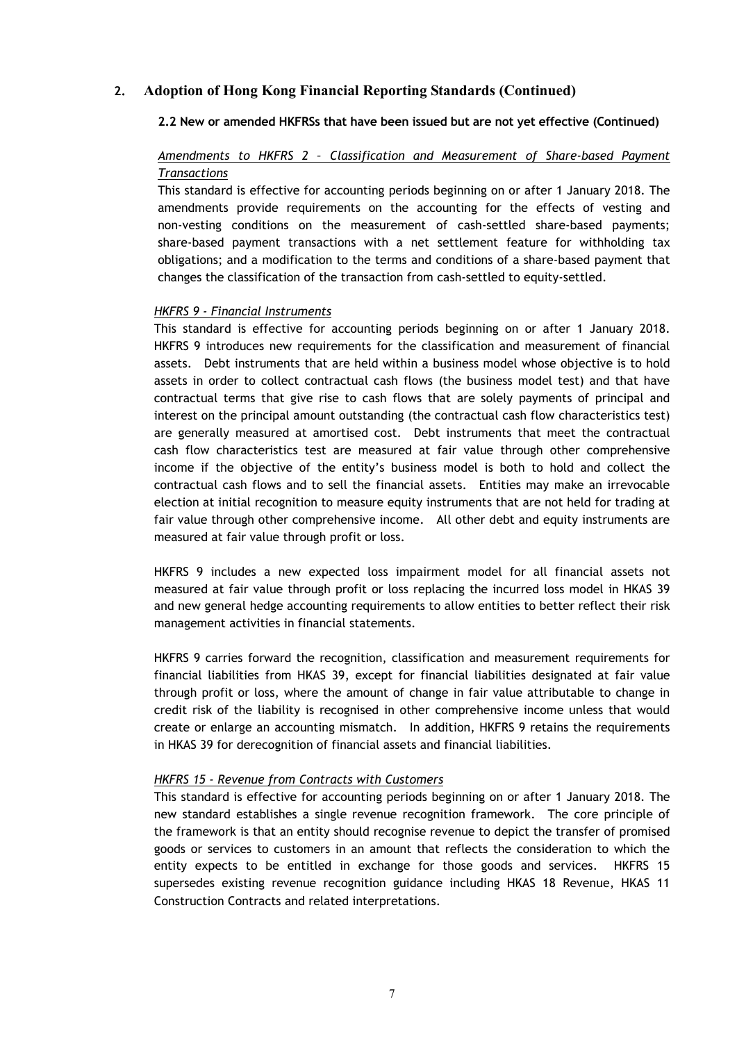#### **2.2 New or amended HKFRSs that have been issued but are not yet effective (Continued)**

# *Amendments to HKFRS 2 – Classification and Measurement of Share-based Payment Transactions*

This standard is effective for accounting periods beginning on or after 1 January 2018. The amendments provide requirements on the accounting for the effects of vesting and non-vesting conditions on the measurement of cash-settled share-based payments; share-based payment transactions with a net settlement feature for withholding tax obligations; and a modification to the terms and conditions of a share-based payment that changes the classification of the transaction from cash-settled to equity-settled.

#### *HKFRS 9 - Financial Instruments*

This standard is effective for accounting periods beginning on or after 1 January 2018. HKFRS 9 introduces new requirements for the classification and measurement of financial assets. Debt instruments that are held within a business model whose objective is to hold assets in order to collect contractual cash flows (the business model test) and that have contractual terms that give rise to cash flows that are solely payments of principal and interest on the principal amount outstanding (the contractual cash flow characteristics test) are generally measured at amortised cost. Debt instruments that meet the contractual cash flow characteristics test are measured at fair value through other comprehensive income if the objective of the entity's business model is both to hold and collect the contractual cash flows and to sell the financial assets. Entities may make an irrevocable election at initial recognition to measure equity instruments that are not held for trading at fair value through other comprehensive income. All other debt and equity instruments are measured at fair value through profit or loss.

HKFRS 9 includes a new expected loss impairment model for all financial assets not measured at fair value through profit or loss replacing the incurred loss model in HKAS 39 and new general hedge accounting requirements to allow entities to better reflect their risk management activities in financial statements.

HKFRS 9 carries forward the recognition, classification and measurement requirements for financial liabilities from HKAS 39, except for financial liabilities designated at fair value through profit or loss, where the amount of change in fair value attributable to change in credit risk of the liability is recognised in other comprehensive income unless that would create or enlarge an accounting mismatch. In addition, HKFRS 9 retains the requirements in HKAS 39 for derecognition of financial assets and financial liabilities.

#### *HKFRS 15 - Revenue from Contracts with Customers*

This standard is effective for accounting periods beginning on or after 1 January 2018. The new standard establishes a single revenue recognition framework. The core principle of the framework is that an entity should recognise revenue to depict the transfer of promised goods or services to customers in an amount that reflects the consideration to which the entity expects to be entitled in exchange for those goods and services. HKFRS 15 supersedes existing revenue recognition guidance including HKAS 18 Revenue, HKAS 11 Construction Contracts and related interpretations.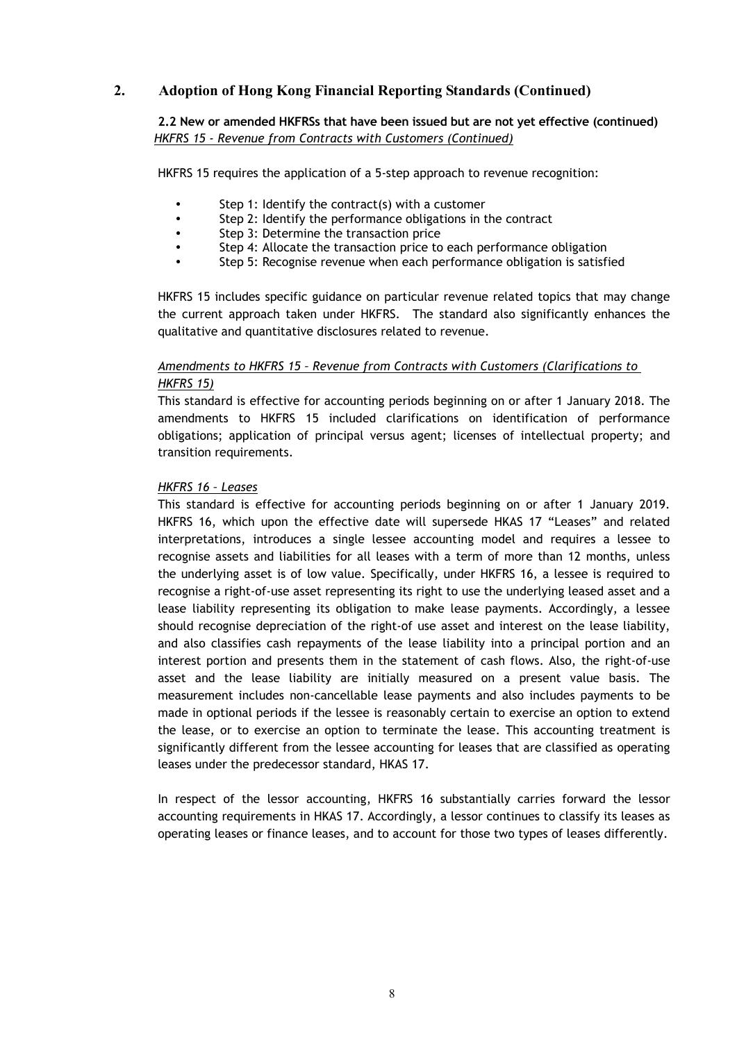### **2.2 New or amended HKFRSs that have been issued but are not yet effective (continued)**  *HKFRS 15 - Revenue from Contracts with Customers (Continued)*

HKFRS 15 requires the application of a 5-step approach to revenue recognition:

- Step 1: Identify the contract(s) with a customer
- Step 2: Identify the performance obligations in the contract
- Step 3: Determine the transaction price
- Step 4: Allocate the transaction price to each performance obligation
- Step 5: Recognise revenue when each performance obligation is satisfied

HKFRS 15 includes specific guidance on particular revenue related topics that may change the current approach taken under HKFRS. The standard also significantly enhances the qualitative and quantitative disclosures related to revenue.

### *Amendments to HKFRS 15 – Revenue from Contracts with Customers (Clarifications to HKFRS 15)*

This standard is effective for accounting periods beginning on or after 1 January 2018. The amendments to HKFRS 15 included clarifications on identification of performance obligations; application of principal versus agent; licenses of intellectual property; and transition requirements.

#### *HKFRS 16 – Leases*

This standard is effective for accounting periods beginning on or after 1 January 2019. HKFRS 16, which upon the effective date will supersede HKAS 17 "Leases" and related interpretations, introduces a single lessee accounting model and requires a lessee to recognise assets and liabilities for all leases with a term of more than 12 months, unless the underlying asset is of low value. Specifically, under HKFRS 16, a lessee is required to recognise a right-of-use asset representing its right to use the underlying leased asset and a lease liability representing its obligation to make lease payments. Accordingly, a lessee should recognise depreciation of the right-of use asset and interest on the lease liability, and also classifies cash repayments of the lease liability into a principal portion and an interest portion and presents them in the statement of cash flows. Also, the right-of-use asset and the lease liability are initially measured on a present value basis. The measurement includes non-cancellable lease payments and also includes payments to be made in optional periods if the lessee is reasonably certain to exercise an option to extend the lease, or to exercise an option to terminate the lease. This accounting treatment is significantly different from the lessee accounting for leases that are classified as operating leases under the predecessor standard, HKAS 17.

In respect of the lessor accounting, HKFRS 16 substantially carries forward the lessor accounting requirements in HKAS 17. Accordingly, a lessor continues to classify its leases as operating leases or finance leases, and to account for those two types of leases differently.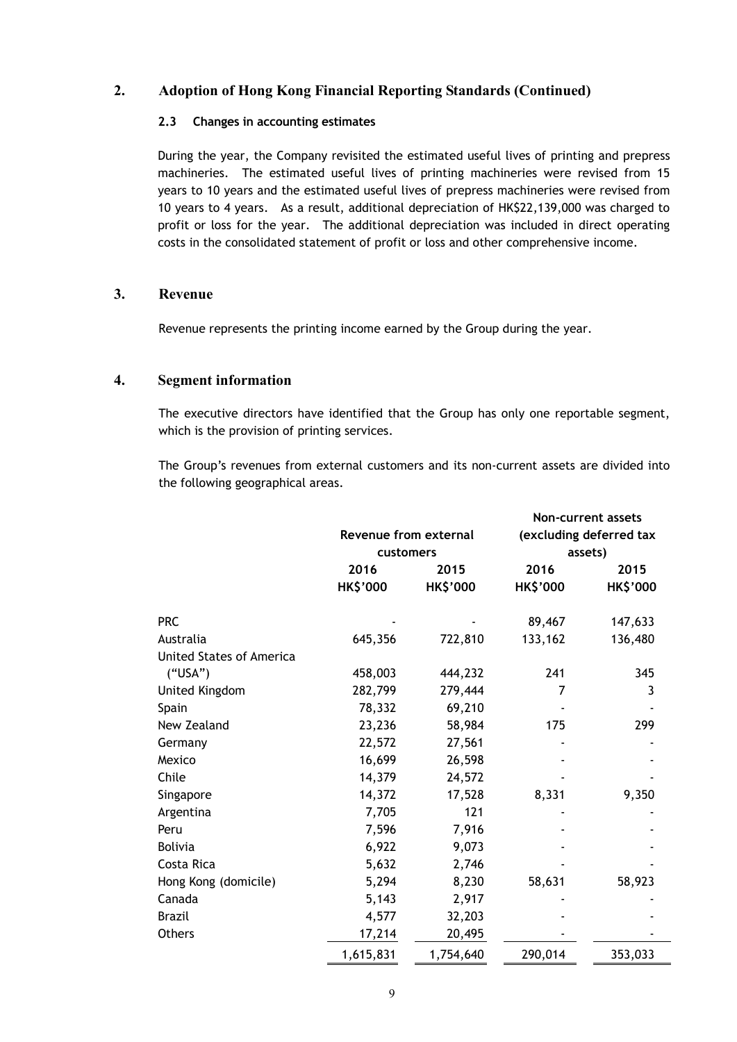### **2.3 Changes in accounting estimates**

During the year, the Company revisited the estimated useful lives of printing and prepress machineries. The estimated useful lives of printing machineries were revised from 15 years to 10 years and the estimated useful lives of prepress machineries were revised from 10 years to 4 years. As a result, additional depreciation of HK\$22,139,000 was charged to profit or loss for the year. The additional depreciation was included in direct operating costs in the consolidated statement of profit or loss and other comprehensive income.

### **3. Revenue**

Revenue represents the printing income earned by the Group during the year.

## **4. Segment information**

The executive directors have identified that the Group has only one reportable segment, which is the provision of printing services.

The Group's revenues from external customers and its non-current assets are divided into the following geographical areas.

|                                 |                       |                 | <b>Non-current assets</b> |                 |  |  |
|---------------------------------|-----------------------|-----------------|---------------------------|-----------------|--|--|
|                                 | Revenue from external |                 | (excluding deferred tax   |                 |  |  |
|                                 | customers             |                 | assets)                   |                 |  |  |
|                                 | 2016                  | 2015            | 2016                      | 2015            |  |  |
|                                 | <b>HK\$'000</b>       | <b>HK\$'000</b> | <b>HK\$'000</b>           | <b>HK\$'000</b> |  |  |
| <b>PRC</b>                      |                       |                 | 89,467                    | 147,633         |  |  |
| Australia                       | 645,356               | 722,810         | 133,162                   | 136,480         |  |  |
| <b>United States of America</b> |                       |                 |                           |                 |  |  |
| ("USA")                         | 458,003               | 444,232         | 241                       | 345             |  |  |
| United Kingdom                  | 282,799               | 279,444         | 7                         | 3               |  |  |
| Spain                           | 78,332                | 69,210          |                           |                 |  |  |
| New Zealand                     | 23,236                | 58,984          | 175                       | 299             |  |  |
| Germany                         | 22,572                | 27,561          |                           |                 |  |  |
| Mexico                          | 16,699                | 26,598          |                           |                 |  |  |
| Chile                           | 14,379                | 24,572          |                           |                 |  |  |
| Singapore                       | 14,372                | 17,528          | 8,331                     | 9,350           |  |  |
| Argentina                       | 7,705                 | 121             |                           |                 |  |  |
| Peru                            | 7,596                 | 7,916           |                           |                 |  |  |
| <b>Bolivia</b>                  | 6,922                 | 9,073           |                           |                 |  |  |
| Costa Rica                      | 5,632                 | 2,746           |                           |                 |  |  |
| Hong Kong (domicile)            | 5,294                 | 8,230           | 58,631                    | 58,923          |  |  |
| Canada                          | 5,143                 | 2,917           |                           |                 |  |  |
| <b>Brazil</b>                   | 4,577                 | 32,203          |                           |                 |  |  |
| <b>Others</b>                   | 17,214                | 20,495          |                           |                 |  |  |
|                                 | 1,615,831             | 1,754,640       | 290,014                   | 353,033         |  |  |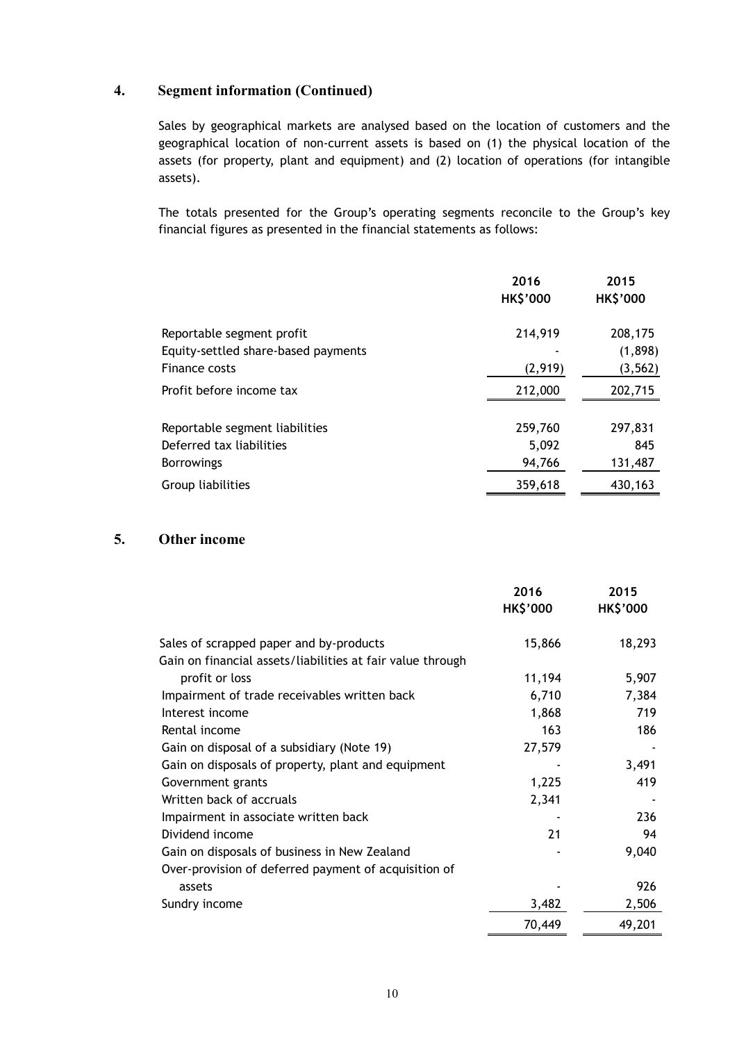# **4. Segment information (Continued)**

Sales by geographical markets are analysed based on the location of customers and the geographical location of non-current assets is based on (1) the physical location of the assets (for property, plant and equipment) and (2) location of operations (for intangible assets).

The totals presented for the Group's operating segments reconcile to the Group's key financial figures as presented in the financial statements as follows:

|                                     | 2016<br><b>HK\$'000</b> | 2015<br><b>HK\$'000</b> |
|-------------------------------------|-------------------------|-------------------------|
| Reportable segment profit           | 214,919                 | 208,175                 |
| Equity-settled share-based payments |                         | (1,898)                 |
| Finance costs                       | (2,919)                 | (3, 562)                |
| Profit before income tax            | 212,000                 | 202,715                 |
| Reportable segment liabilities      | 259,760                 | 297,831                 |
| Deferred tax liabilities            | 5,092                   | 845                     |
| <b>Borrowings</b>                   | 94,766                  | 131,487                 |
| Group liabilities                   | 359,618                 | 430,163                 |

# **5. Other income**

|                                                            | 2016<br><b>HK\$'000</b> | 2015<br><b>HK\$'000</b> |
|------------------------------------------------------------|-------------------------|-------------------------|
| Sales of scrapped paper and by-products                    | 15,866                  | 18,293                  |
| Gain on financial assets/liabilities at fair value through |                         |                         |
| profit or loss                                             | 11,194                  | 5,907                   |
| Impairment of trade receivables written back               | 6,710                   | 7,384                   |
| Interest income                                            | 1,868                   | 719                     |
| Rental income                                              | 163                     | 186                     |
| Gain on disposal of a subsidiary (Note 19)                 | 27,579                  |                         |
| Gain on disposals of property, plant and equipment         |                         | 3,491                   |
| Government grants                                          | 1,225                   | 419                     |
| Written back of accruals                                   | 2,341                   |                         |
| Impairment in associate written back                       |                         | 236                     |
| Dividend income                                            | 21                      | 94                      |
| Gain on disposals of business in New Zealand               |                         | 9,040                   |
| Over-provision of deferred payment of acquisition of       |                         |                         |
| assets                                                     |                         | 926                     |
| Sundry income                                              | 3,482                   | 2,506                   |
|                                                            | 70,449                  | 49,201                  |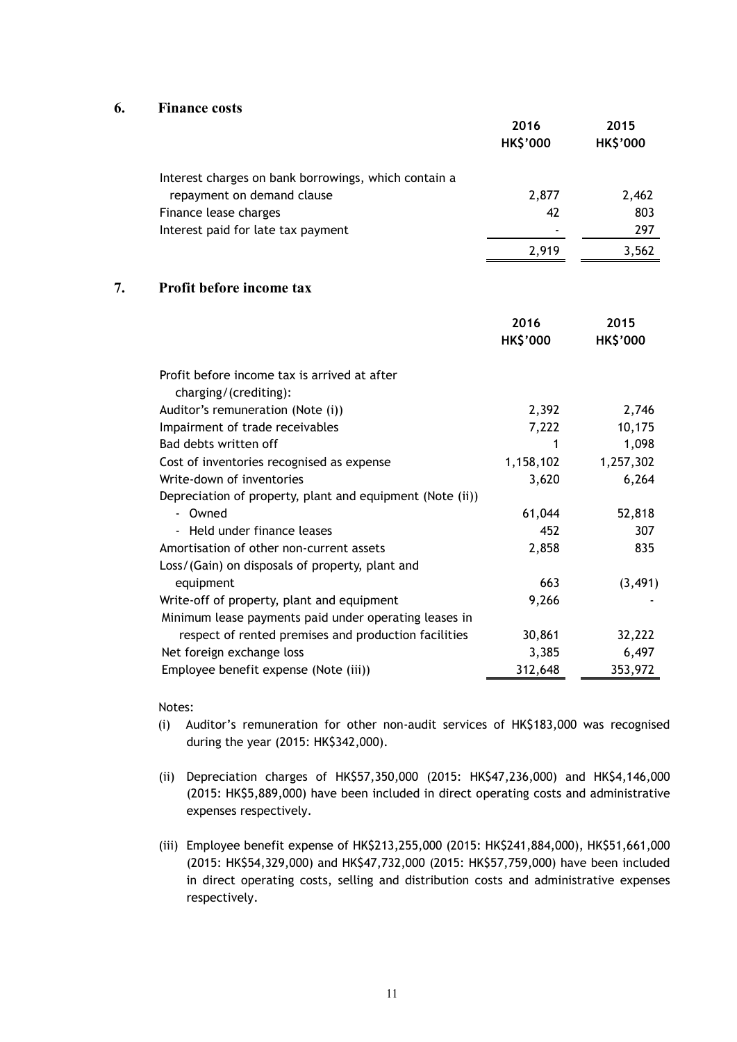#### **6. Finance costs**

|                                                      | 2016<br><b>HK\$'000</b> | 2015<br><b>HK\$'000</b> |
|------------------------------------------------------|-------------------------|-------------------------|
| Interest charges on bank borrowings, which contain a |                         |                         |
| repayment on demand clause                           | 2,877                   | 2,462                   |
| Finance lease charges                                | 42                      | 803                     |
| Interest paid for late tax payment                   |                         | 297                     |
|                                                      | 2.919                   | 3,562                   |

### **7. Profit before income tax**

|                                                           | 2016<br><b>HK\$'000</b> | 2015<br><b>HK\$'000</b> |
|-----------------------------------------------------------|-------------------------|-------------------------|
| Profit before income tax is arrived at after              |                         |                         |
| charging/(crediting):                                     |                         |                         |
| Auditor's remuneration (Note (i))                         | 2,392                   | 2,746                   |
| Impairment of trade receivables                           | 7,222                   | 10,175                  |
| Bad debts written off                                     | 1                       | 1,098                   |
| Cost of inventories recognised as expense                 | 1,158,102               | 1,257,302               |
| Write-down of inventories                                 | 3,620                   | 6,264                   |
| Depreciation of property, plant and equipment (Note (ii)) |                         |                         |
| - Owned                                                   | 61,044                  | 52,818                  |
| - Held under finance leases                               | 452                     | 307                     |
| Amortisation of other non-current assets                  | 2,858                   | 835                     |
| Loss/(Gain) on disposals of property, plant and           |                         |                         |
| equipment                                                 | 663                     | (3, 491)                |
| Write-off of property, plant and equipment                | 9,266                   |                         |
| Minimum lease payments paid under operating leases in     |                         |                         |
| respect of rented premises and production facilities      | 30,861                  | 32,222                  |
| Net foreign exchange loss                                 | 3,385                   | 6,497                   |
| Employee benefit expense (Note (iii))                     | 312,648                 | 353,972                 |

#### Notes:

- (i) Auditor's remuneration for other non-audit services of HK\$183,000 was recognised during the year (2015: HK\$342,000).
- (ii) Depreciation charges of HK\$57,350,000 (2015: HK\$47,236,000) and HK\$4,146,000 (2015: HK\$5,889,000) have been included in direct operating costs and administrative expenses respectively.
- (iii) Employee benefit expense of HK\$213,255,000 (2015: HK\$241,884,000), HK\$51,661,000 (2015: HK\$54,329,000) and HK\$47,732,000 (2015: HK\$57,759,000) have been included in direct operating costs, selling and distribution costs and administrative expenses respectively.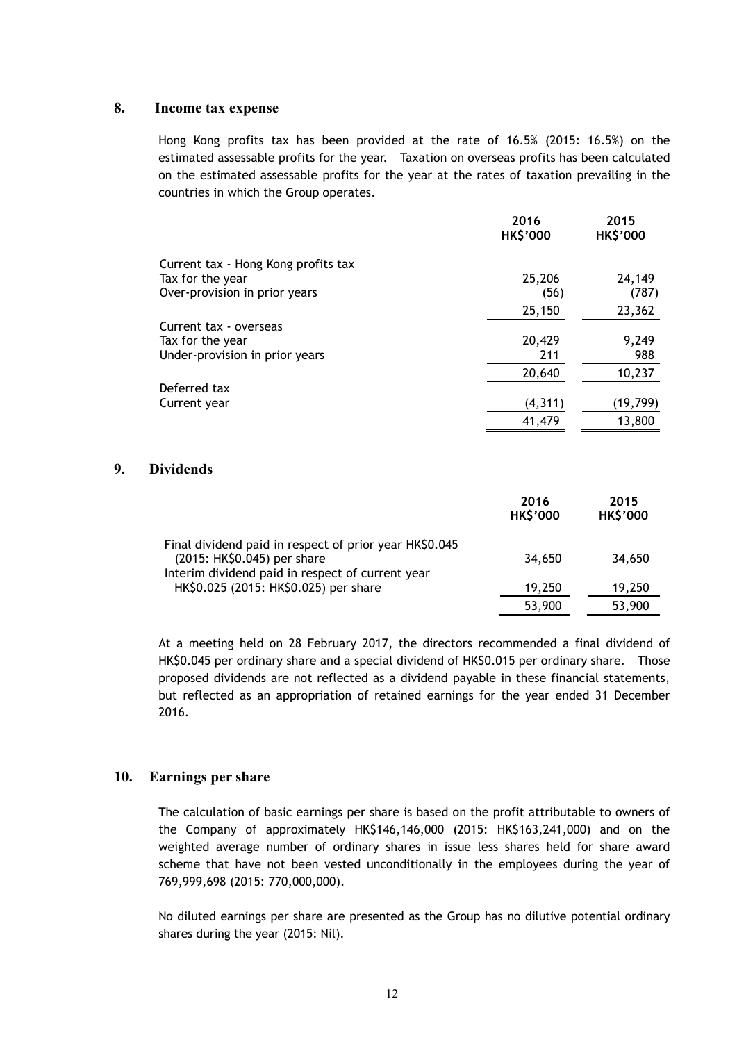#### **8. Income tax expense**

Hong Kong profits tax has been provided at the rate of 16.5% (2015: 16.5%) on the estimated assessable profits for the year. Taxation on overseas profits has been calculated on the estimated assessable profits for the year at the rates of taxation prevailing in the countries in which the Group operates.

|                                     | 2016<br><b>HK\$'000</b> | 2015<br><b>HK\$'000</b> |
|-------------------------------------|-------------------------|-------------------------|
| Current tax - Hong Kong profits tax |                         |                         |
| Tax for the year                    | 25,206                  | 24,149                  |
| Over-provision in prior years       | (56)                    | (787)                   |
|                                     | 25,150                  | 23,362                  |
| Current tax - overseas              |                         |                         |
| Tax for the year                    | 20,429                  | 9,249                   |
| Under-provision in prior years      | 211                     | 988                     |
|                                     | 20,640                  | 10,237                  |
| Deferred tax                        |                         |                         |
| Current year                        | (4, 311)                | (19, 799)               |
|                                     | 41,479                  | 13,800                  |

### **9. Dividends**

|                                                                                                                                           | 2016<br><b>HK\$'000</b> | 2015<br><b>HK\$'000</b> |
|-------------------------------------------------------------------------------------------------------------------------------------------|-------------------------|-------------------------|
| Final dividend paid in respect of prior year HK\$0.045<br>(2015: HK\$0.045) per share<br>Interim dividend paid in respect of current year | 34,650                  | 34,650                  |
| HK\$0.025 (2015: HK\$0.025) per share                                                                                                     | 19,250                  | 19,250                  |
|                                                                                                                                           | 53,900                  | 53,900                  |

At a meeting held on 28 February 2017, the directors recommended a final dividend of HK\$0.045 per ordinary share and a special dividend of HK\$0.015 per ordinary share. Those proposed dividends are not reflected as a dividend payable in these financial statements, but reflected as an appropriation of retained earnings for the year ended 31 December 2016.

#### **10. Earnings per share**

The calculation of basic earnings per share is based on the profit attributable to owners of the Company of approximately HK\$146,146,000 (2015: HK\$163,241,000) and on the weighted average number of ordinary shares in issue less shares held for share award scheme that have not been vested unconditionally in the employees during the year of 769,999,698 (2015: 770,000,000).

No diluted earnings per share are presented as the Group has no dilutive potential ordinary shares during the year (2015: Nil).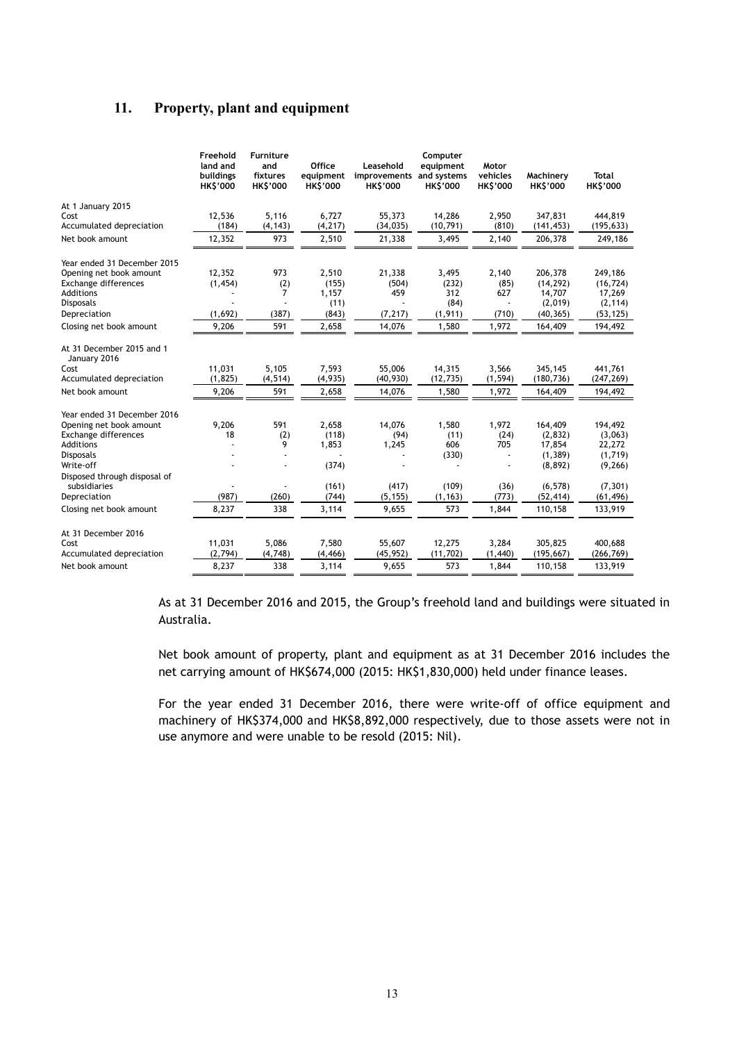# **11. Property, plant and equipment**

|                                              | Freehold<br>land and<br>buildings<br><b>HK\$'000</b> | <b>Furniture</b><br>and<br>fixtures<br><b>HK\$'000</b> | Office<br>equipment<br><b>HK\$'000</b> | Leasehold<br>improvements<br><b>HK\$'000</b> | Computer<br>equipment<br>and systems<br><b>HK\$'000</b> | Motor<br>vehicles<br><b>HK\$'000</b> | Machinery<br><b>HK\$'000</b> | Total<br><b>HK\$'000</b> |
|----------------------------------------------|------------------------------------------------------|--------------------------------------------------------|----------------------------------------|----------------------------------------------|---------------------------------------------------------|--------------------------------------|------------------------------|--------------------------|
| At 1 January 2015                            |                                                      |                                                        |                                        |                                              |                                                         |                                      |                              |                          |
| Cost                                         | 12,536                                               | 5,116                                                  | 6.727                                  | 55,373                                       | 14.286                                                  | 2,950                                | 347.831                      | 444,819                  |
| Accumulated depreciation                     | (184)                                                | (4, 143)                                               | (4, 217)                               | (34, 035)                                    | (10, 791)                                               | (810)                                | (141, 453)                   | (195, 633)               |
| Net book amount                              | 12,352                                               | 973                                                    | 2,510                                  | 21,338                                       | 3,495                                                   | 2,140                                | 206,378                      | 249,186                  |
| Year ended 31 December 2015                  |                                                      |                                                        |                                        |                                              |                                                         |                                      |                              |                          |
| Opening net book amount                      | 12,352                                               | 973                                                    | 2,510                                  | 21,338                                       | 3,495                                                   | 2,140                                | 206,378                      | 249,186                  |
| Exchange differences                         | (1, 454)                                             | (2)                                                    | (155)                                  | (504)                                        | (232)                                                   | (85)                                 | (14, 292)                    | (16, 724)                |
| Additions                                    |                                                      | 7                                                      | 1,157                                  | 459                                          | 312                                                     | 627                                  | 14,707                       | 17,269                   |
| <b>Disposals</b>                             |                                                      |                                                        | (11)                                   |                                              | (84)                                                    |                                      | (2,019)                      | (2, 114)                 |
| Depreciation                                 | (1,692)                                              | (387)                                                  | (843)                                  | (7, 217)                                     | (1, 911)                                                | (710)                                | (40, 365)                    | (53, 125)                |
| Closing net book amount                      | 9,206                                                | 591                                                    | 2,658                                  | 14,076                                       | 1,580                                                   | 1,972                                | 164,409                      | 194,492                  |
| At 31 December 2015 and 1<br>January 2016    |                                                      |                                                        |                                        |                                              |                                                         |                                      |                              |                          |
| Cost                                         | 11,031                                               | 5,105                                                  | 7,593                                  | 55,006                                       | 14,315                                                  | 3,566                                | 345,145                      | 441,761                  |
| Accumulated depreciation                     | (1, 825)                                             | (4, 514)                                               | (4,935)                                | (40, 930)                                    | (12, 735)                                               | (1, 594)                             | (180, 736)                   | (247, 269)               |
| Net book amount                              | 9,206                                                | 591                                                    | 2,658                                  | 14,076                                       | 1,580                                                   | 1,972                                | 164,409                      | 194,492                  |
| Year ended 31 December 2016                  |                                                      |                                                        |                                        |                                              |                                                         |                                      |                              |                          |
| Opening net book amount                      | 9,206                                                | 591                                                    | 2,658                                  | 14,076                                       | 1,580                                                   | 1,972                                | 164,409                      | 194,492                  |
| Exchange differences                         | 18                                                   | (2)                                                    | (118)                                  | (94)                                         | (11)                                                    | (24)                                 | (2, 832)                     | (3,063)                  |
| Additions                                    |                                                      | 9                                                      | 1,853                                  | 1,245                                        | 606                                                     | 705                                  | 17,854                       | 22,272                   |
| <b>Disposals</b>                             |                                                      | ٠                                                      |                                        |                                              | (330)                                                   | $\blacksquare$                       | (1, 389)                     | (1,719)                  |
| Write-off                                    |                                                      |                                                        | (374)                                  |                                              |                                                         |                                      | (8, 892)                     | (9, 266)                 |
| Disposed through disposal of<br>subsidiaries |                                                      |                                                        | (161)                                  | (417)                                        | (109)                                                   | (36)                                 | (6, 578)                     | (7, 301)                 |
| Depreciation                                 | (987)                                                | (260)                                                  | (744)                                  | (5, 155)                                     | (1, 163)                                                | (773)                                | (52, 414)                    | (61, 496)                |
| Closing net book amount                      | 8,237                                                | 338                                                    | 3,114                                  | 9,655                                        | 573                                                     | 1,844                                | 110,158                      | 133,919                  |
|                                              |                                                      |                                                        |                                        |                                              |                                                         |                                      |                              |                          |
| At 31 December 2016                          |                                                      |                                                        |                                        |                                              |                                                         |                                      |                              |                          |
| Cost                                         | 11,031<br>(2, 794)                                   | 5,086                                                  | 7,580                                  | 55,607                                       | 12,275                                                  | 3,284                                | 305,825                      | 400,688                  |
| Accumulated depreciation                     |                                                      | (4,748)                                                | (4, 466)                               | (45, 952)                                    | (11, 702)                                               | (1,440)                              | (195, 667)                   | (266, 769)               |
| Net book amount                              | 8.237                                                | 338                                                    | 3,114                                  | 9.655                                        | 573                                                     | 1,844                                | 110,158                      | 133,919                  |

As at 31 December 2016 and 2015, the Group's freehold land and buildings were situated in Australia.

Net book amount of property, plant and equipment as at 31 December 2016 includes the net carrying amount of HK\$674,000 (2015: HK\$1,830,000) held under finance leases.

For the year ended 31 December 2016, there were write-off of office equipment and machinery of HK\$374,000 and HK\$8,892,000 respectively, due to those assets were not in use anymore and were unable to be resold (2015: Nil).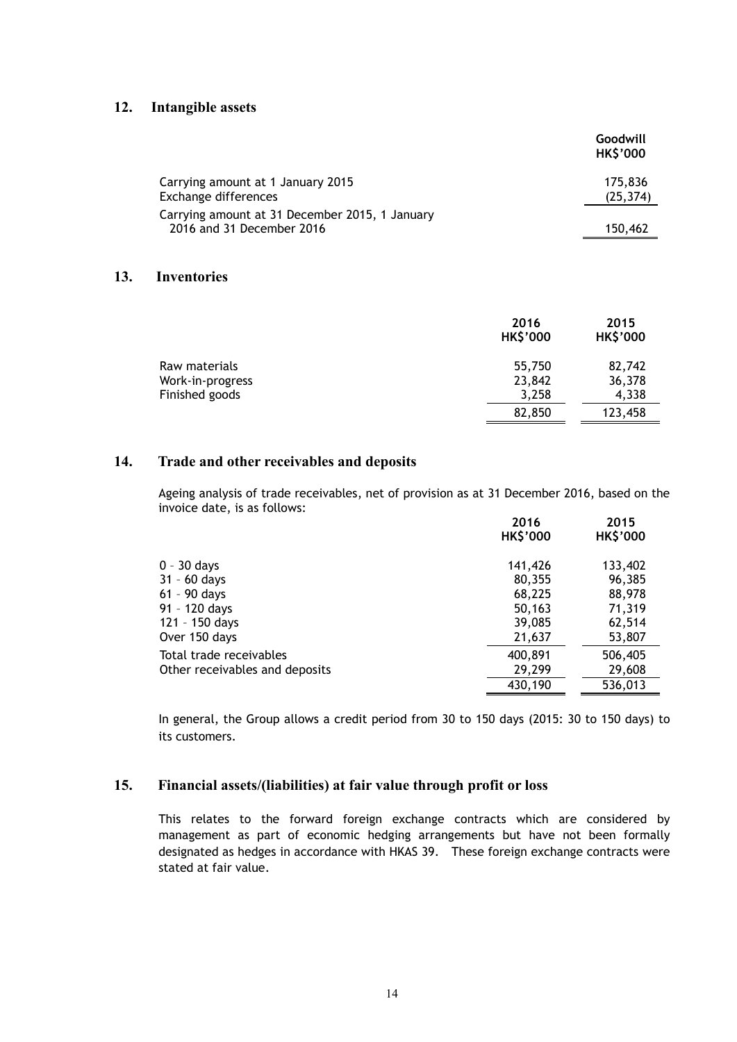### **12. Intangible assets**

|                                                                             | Goodwill<br><b>HK\$'000</b> |
|-----------------------------------------------------------------------------|-----------------------------|
| Carrying amount at 1 January 2015<br>Exchange differences                   | 175,836<br>(25, 374)        |
| Carrying amount at 31 December 2015, 1 January<br>2016 and 31 December 2016 | 150,462                     |

#### **13. Inventories**

|                                   | 2016<br><b>HK\$'000</b> | 2015<br><b>HK\$'000</b> |
|-----------------------------------|-------------------------|-------------------------|
| Raw materials<br>Work-in-progress | 55,750<br>23,842        | 82,742<br>36,378        |
| Finished goods                    | 3,258                   | 4,338                   |
|                                   | 82,850                  | 123,458                 |

#### **14. Trade and other receivables and deposits**

Ageing analysis of trade receivables, net of provision as at 31 December 2016, based on the invoice date, is as follows:

|                                | 2016<br><b>HK\$'000</b> | 2015<br><b>HK\$'000</b> |
|--------------------------------|-------------------------|-------------------------|
| $0 - 30$ days                  | 141,426                 | 133,402                 |
| $31 - 60$ days                 | 80,355                  | 96,385                  |
| 61 - 90 days                   | 68,225                  | 88,978                  |
| 91 - 120 days                  | 50,163                  | 71,319                  |
| 121 - 150 days                 | 39,085                  | 62,514                  |
| Over 150 days                  | 21,637                  | 53,807                  |
| Total trade receivables        | 400,891                 | 506,405                 |
| Other receivables and deposits | 29,299                  | 29,608                  |
|                                | 430,190                 | 536,013                 |

In general, the Group allows a credit period from 30 to 150 days (2015: 30 to 150 days) to its customers.

### **15. Financial assets/(liabilities) at fair value through profit or loss**

This relates to the forward foreign exchange contracts which are considered by management as part of economic hedging arrangements but have not been formally designated as hedges in accordance with HKAS 39. These foreign exchange contracts were stated at fair value.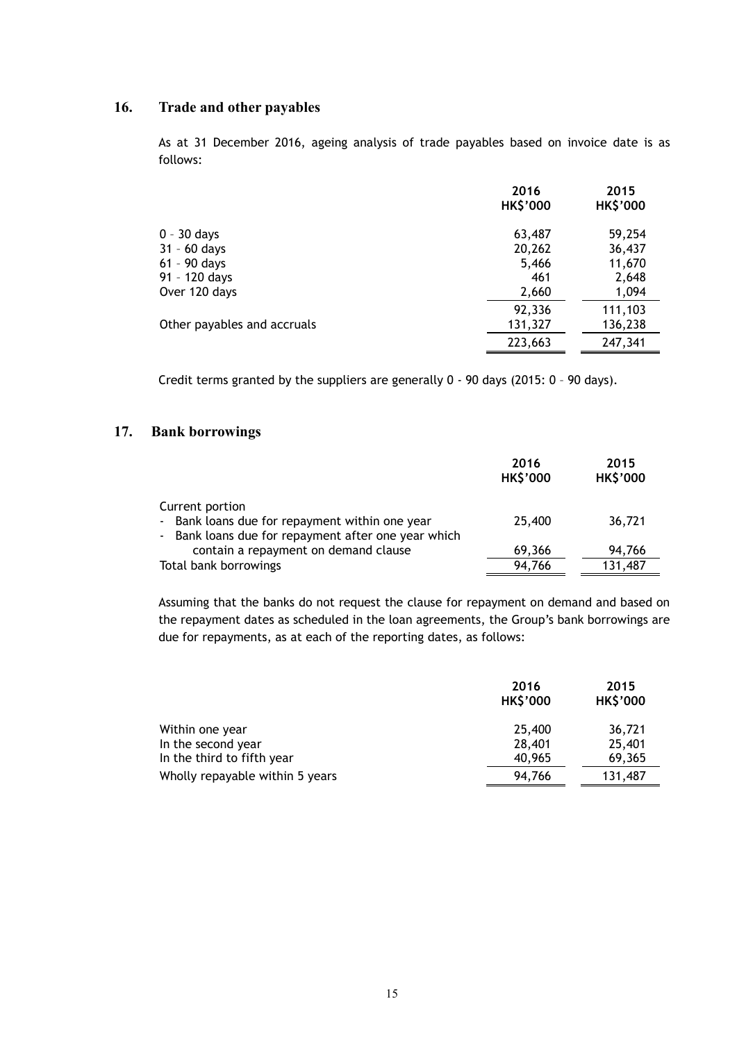# **16. Trade and other payables**

As at 31 December 2016, ageing analysis of trade payables based on invoice date is as follows:

|                             | 2016<br><b>HK\$'000</b> | 2015<br><b>HK\$'000</b> |
|-----------------------------|-------------------------|-------------------------|
| $0 - 30$ days               | 63,487                  | 59,254                  |
| $31 - 60$ days              | 20,262                  | 36,437                  |
| $61 - 90$ days              | 5,466                   | 11,670                  |
| 91 - 120 days               | 461                     | 2,648                   |
| Over 120 days               | 2,660                   | 1,094                   |
|                             | 92,336                  | 111,103                 |
| Other payables and accruals | 131,327                 | 136,238                 |
|                             | 223,663                 | 247,341                 |
|                             |                         |                         |

Credit terms granted by the suppliers are generally 0 - 90 days (2015: 0 – 90 days).

# **17. Bank borrowings**

|                                                                                                                          | 2016<br><b>HK\$'000</b> | 2015<br><b>HK\$'000</b> |
|--------------------------------------------------------------------------------------------------------------------------|-------------------------|-------------------------|
| Current portion<br>- Bank loans due for repayment within one year<br>- Bank loans due for repayment after one year which | 25,400                  | 36,721                  |
| contain a repayment on demand clause                                                                                     | 69,366                  | 94,766                  |
| Total bank borrowings                                                                                                    | 94,766                  | 131,487                 |

Assuming that the banks do not request the clause for repayment on demand and based on the repayment dates as scheduled in the loan agreements, the Group's bank borrowings are due for repayments, as at each of the reporting dates, as follows:

|                                 | 2016<br><b>HK\$'000</b> | 2015<br><b>HK\$'000</b> |
|---------------------------------|-------------------------|-------------------------|
| Within one year                 | 25,400                  | 36,721                  |
| In the second year              | 28,401                  | 25,401                  |
| In the third to fifth year      | 40,965                  | 69,365                  |
| Wholly repayable within 5 years | 94,766                  | 131,487                 |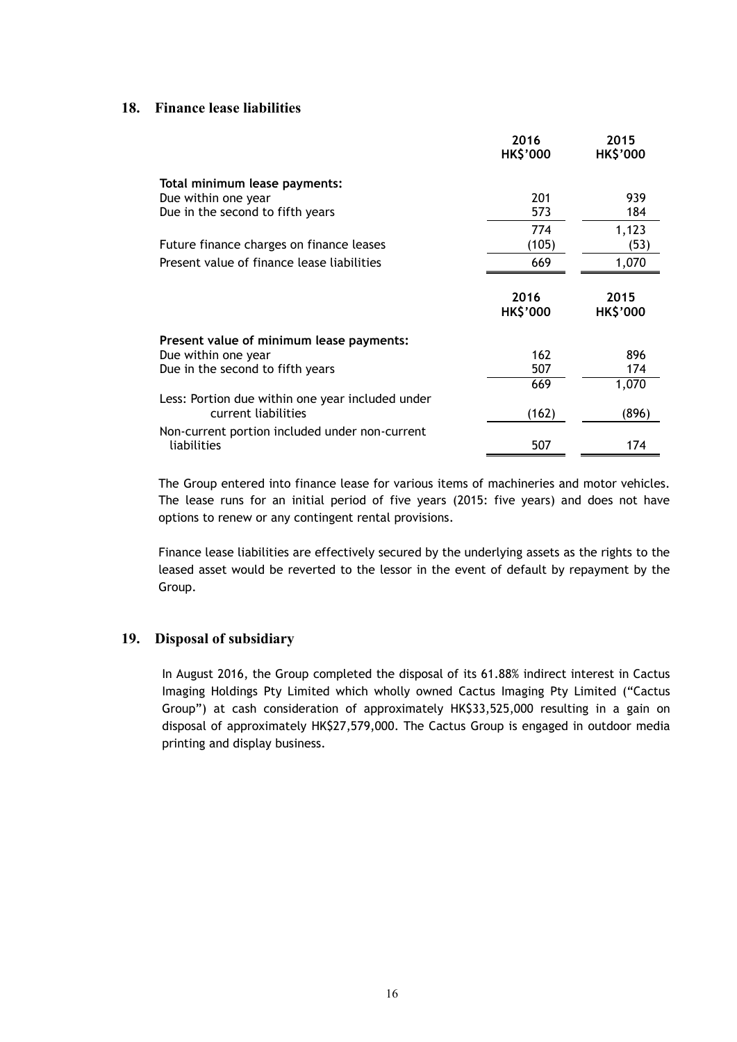### **18. Finance lease liabilities**

|                                                                         | 2016<br><b>HK\$'000</b> | 2015<br><b>HK\$'000</b> |
|-------------------------------------------------------------------------|-------------------------|-------------------------|
| Total minimum lease payments:                                           |                         |                         |
| Due within one year                                                     | 201                     | 939                     |
| Due in the second to fifth years                                        | 573                     | 184                     |
|                                                                         | 774                     | 1,123                   |
| Future finance charges on finance leases                                | (105)                   | (53)                    |
| Present value of finance lease liabilities                              | 669                     | 1,070                   |
|                                                                         | 2016<br><b>HK\$'000</b> | 2015<br><b>HK\$'000</b> |
| Present value of minimum lease payments:                                |                         |                         |
| Due within one year                                                     | 162                     | 896                     |
| Due in the second to fifth years                                        | 507                     | 174                     |
|                                                                         | 669                     | 1,070                   |
| Less: Portion due within one year included under<br>current liabilities | (162)                   | (896)                   |
| Non-current portion included under non-current<br>liabilities           | 507                     | 174                     |

The Group entered into finance lease for various items of machineries and motor vehicles. The lease runs for an initial period of five years (2015: five years) and does not have options to renew or any contingent rental provisions.

Finance lease liabilities are effectively secured by the underlying assets as the rights to the leased asset would be reverted to the lessor in the event of default by repayment by the Group.

### **19. Disposal of subsidiary**

In August 2016, the Group completed the disposal of its 61.88% indirect interest in Cactus Imaging Holdings Pty Limited which wholly owned Cactus Imaging Pty Limited ("Cactus Group") at cash consideration of approximately HK\$33,525,000 resulting in a gain on disposal of approximately HK\$27,579,000. The Cactus Group is engaged in outdoor media printing and display business.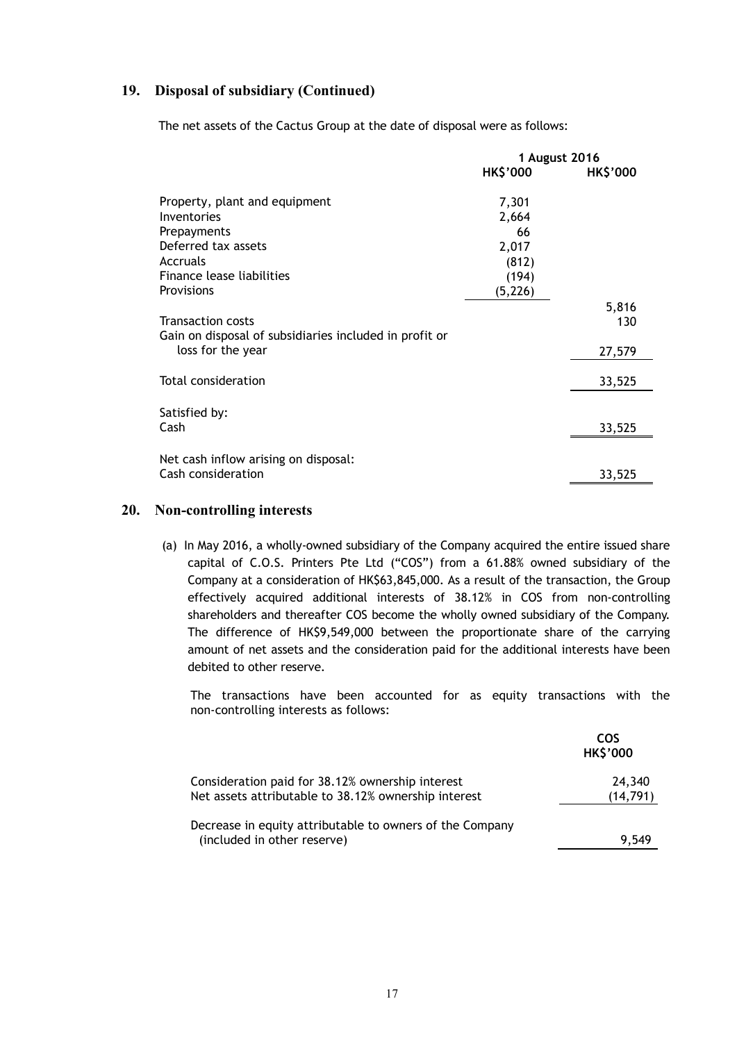# **19. Disposal of subsidiary (Continued)**

The net assets of the Cactus Group at the date of disposal were as follows:

|                                                        | 1 August 2016   |                 |
|--------------------------------------------------------|-----------------|-----------------|
|                                                        | <b>HK\$'000</b> | <b>HK\$'000</b> |
| Property, plant and equipment                          | 7,301           |                 |
| Inventories                                            | 2,664           |                 |
| Prepayments                                            | 66              |                 |
| Deferred tax assets                                    | 2,017           |                 |
| Accruals                                               | (812)           |                 |
| Finance lease liabilities                              | (194)           |                 |
| Provisions                                             | (5, 226)        |                 |
|                                                        |                 | 5,816           |
| <b>Transaction costs</b>                               |                 | 130             |
| Gain on disposal of subsidiaries included in profit or |                 |                 |
| loss for the year                                      |                 | 27,579          |
|                                                        |                 |                 |
| Total consideration                                    |                 | 33,525          |
|                                                        |                 |                 |
| Satisfied by:                                          |                 |                 |
| Cash                                                   |                 | 33,525          |
|                                                        |                 |                 |
| Net cash inflow arising on disposal:                   |                 |                 |
| Cash consideration                                     |                 | 33,525          |

#### **20. Non-controlling interests**

(a) In May 2016, a wholly-owned subsidiary of the Company acquired the entire issued share capital of C.O.S. Printers Pte Ltd ("COS") from a 61.88% owned subsidiary of the Company at a consideration of HK\$63,845,000. As a result of the transaction, the Group effectively acquired additional interests of 38.12% in COS from non-controlling shareholders and thereafter COS become the wholly owned subsidiary of the Company. The difference of HK\$9,549,000 between the proportionate share of the carrying amount of net assets and the consideration paid for the additional interests have been debited to other reserve.

The transactions have been accounted for as equity transactions with the non-controlling interests as follows:

|                                                                                                          | COS<br><b>HK\$'000</b> |
|----------------------------------------------------------------------------------------------------------|------------------------|
| Consideration paid for 38.12% ownership interest<br>Net assets attributable to 38.12% ownership interest | 24,340<br>(14, 791)    |
|                                                                                                          |                        |
| Decrease in equity attributable to owners of the Company<br>(included in other reserve)                  | 9.549                  |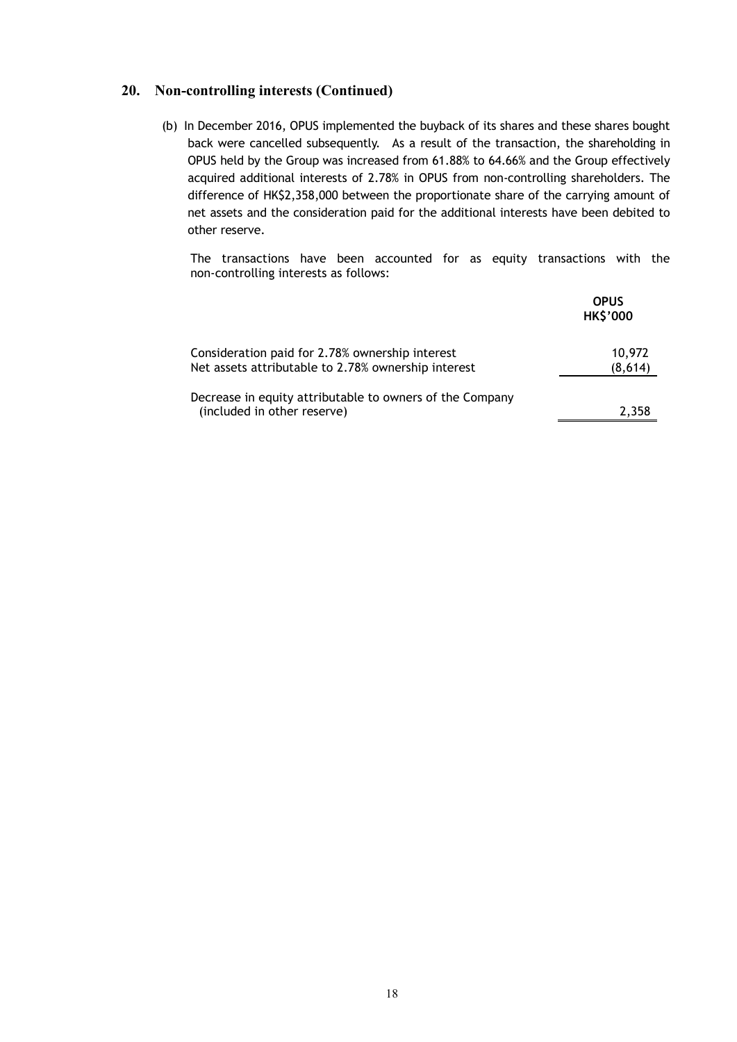# **20. Non-controlling interests (Continued)**

(b) In December 2016, OPUS implemented the buyback of its shares and these shares bought back were cancelled subsequently. As a result of the transaction, the shareholding in OPUS held by the Group was increased from 61.88% to 64.66% and the Group effectively acquired additional interests of 2.78% in OPUS from non-controlling shareholders. The difference of HK\$2,358,000 between the proportionate share of the carrying amount of net assets and the consideration paid for the additional interests have been debited to other reserve.

The transactions have been accounted for as equity transactions with the non-controlling interests as follows:

|                                                                                                        | <b>OPUS</b><br><b>HK\$'000</b> |
|--------------------------------------------------------------------------------------------------------|--------------------------------|
| Consideration paid for 2.78% ownership interest<br>Net assets attributable to 2.78% ownership interest | 10,972<br>(8,614)              |
| Decrease in equity attributable to owners of the Company<br>(included in other reserve)                | 2.358                          |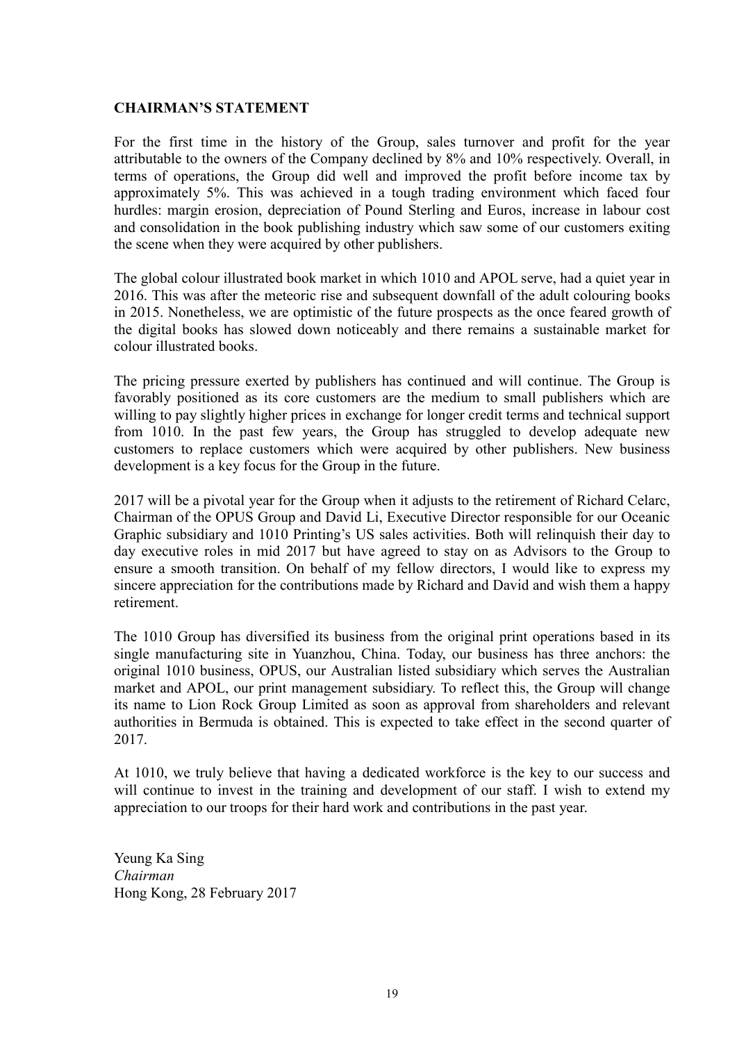### **CHAIRMAN'S STATEMENT**

For the first time in the history of the Group, sales turnover and profit for the year attributable to the owners of the Company declined by 8% and 10% respectively. Overall, in terms of operations, the Group did well and improved the profit before income tax by approximately 5%. This was achieved in a tough trading environment which faced four hurdles: margin erosion, depreciation of Pound Sterling and Euros, increase in labour cost and consolidation in the book publishing industry which saw some of our customers exiting the scene when they were acquired by other publishers.

The global colour illustrated book market in which 1010 and APOL serve, had a quiet year in 2016. This was after the meteoric rise and subsequent downfall of the adult colouring books in 2015. Nonetheless, we are optimistic of the future prospects as the once feared growth of the digital books has slowed down noticeably and there remains a sustainable market for colour illustrated books.

The pricing pressure exerted by publishers has continued and will continue. The Group is favorably positioned as its core customers are the medium to small publishers which are willing to pay slightly higher prices in exchange for longer credit terms and technical support from 1010. In the past few years, the Group has struggled to develop adequate new customers to replace customers which were acquired by other publishers. New business development is a key focus for the Group in the future.

2017 will be a pivotal year for the Group when it adjusts to the retirement of Richard Celarc, Chairman of the OPUS Group and David Li, Executive Director responsible for our Oceanic Graphic subsidiary and 1010 Printing's US sales activities. Both will relinquish their day to day executive roles in mid 2017 but have agreed to stay on as Advisors to the Group to ensure a smooth transition. On behalf of my fellow directors, I would like to express my sincere appreciation for the contributions made by Richard and David and wish them a happy retirement.

The 1010 Group has diversified its business from the original print operations based in its single manufacturing site in Yuanzhou, China. Today, our business has three anchors: the original 1010 business, OPUS, our Australian listed subsidiary which serves the Australian market and APOL, our print management subsidiary. To reflect this, the Group will change its name to Lion Rock Group Limited as soon as approval from shareholders and relevant authorities in Bermuda is obtained. This is expected to take effect in the second quarter of 2017.

At 1010, we truly believe that having a dedicated workforce is the key to our success and will continue to invest in the training and development of our staff. I wish to extend my appreciation to our troops for their hard work and contributions in the past year.

Yeung Ka Sing *Chairman*  Hong Kong, 28 February 2017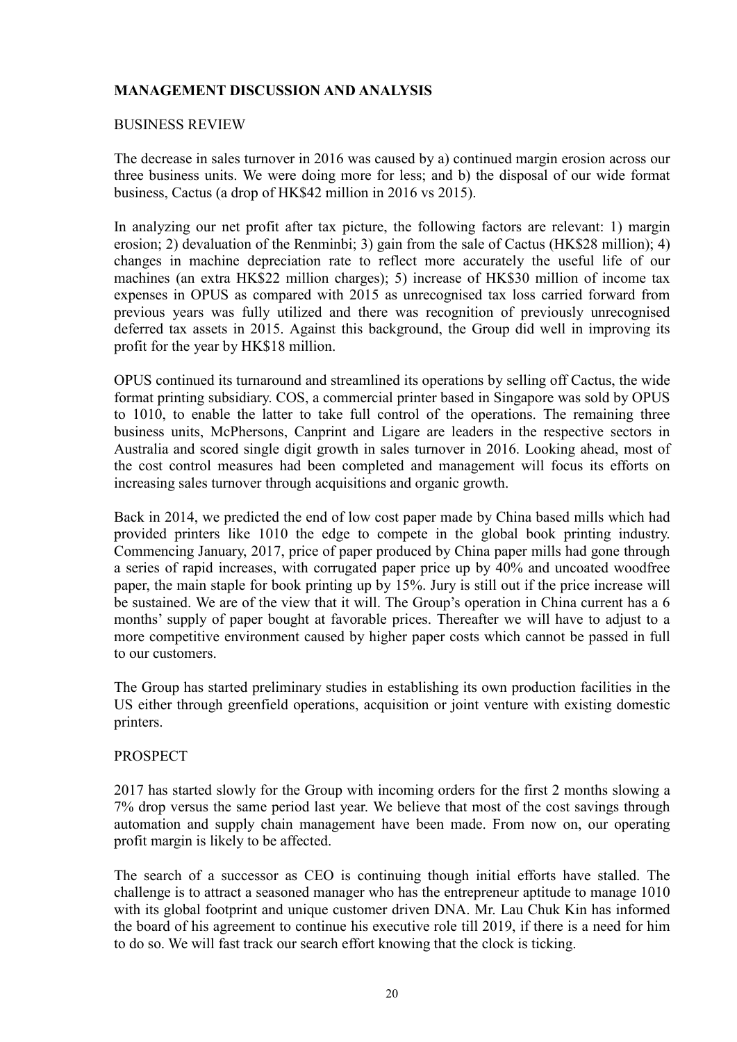# **MANAGEMENT DISCUSSION AND ANALYSIS**

### BUSINESS REVIEW

The decrease in sales turnover in 2016 was caused by a) continued margin erosion across our three business units. We were doing more for less; and b) the disposal of our wide format business, Cactus (a drop of HK\$42 million in 2016 vs 2015).

In analyzing our net profit after tax picture, the following factors are relevant: 1) margin erosion; 2) devaluation of the Renminbi; 3) gain from the sale of Cactus (HK\$28 million); 4) changes in machine depreciation rate to reflect more accurately the useful life of our machines (an extra HK\$22 million charges); 5) increase of HK\$30 million of income tax expenses in OPUS as compared with 2015 as unrecognised tax loss carried forward from previous years was fully utilized and there was recognition of previously unrecognised deferred tax assets in 2015. Against this background, the Group did well in improving its profit for the year by HK\$18 million.

OPUS continued its turnaround and streamlined its operations by selling off Cactus, the wide format printing subsidiary. COS, a commercial printer based in Singapore was sold by OPUS to 1010, to enable the latter to take full control of the operations. The remaining three business units, McPhersons, Canprint and Ligare are leaders in the respective sectors in Australia and scored single digit growth in sales turnover in 2016. Looking ahead, most of the cost control measures had been completed and management will focus its efforts on increasing sales turnover through acquisitions and organic growth.

Back in 2014, we predicted the end of low cost paper made by China based mills which had provided printers like 1010 the edge to compete in the global book printing industry. Commencing January, 2017, price of paper produced by China paper mills had gone through a series of rapid increases, with corrugated paper price up by 40% and uncoated woodfree paper, the main staple for book printing up by 15%. Jury is still out if the price increase will be sustained. We are of the view that it will. The Group's operation in China current has a 6 months' supply of paper bought at favorable prices. Thereafter we will have to adjust to a more competitive environment caused by higher paper costs which cannot be passed in full to our customers.

The Group has started preliminary studies in establishing its own production facilities in the US either through greenfield operations, acquisition or joint venture with existing domestic printers.

### **PROSPECT**

2017 has started slowly for the Group with incoming orders for the first 2 months slowing a 7% drop versus the same period last year. We believe that most of the cost savings through automation and supply chain management have been made. From now on, our operating profit margin is likely to be affected.

The search of a successor as CEO is continuing though initial efforts have stalled. The challenge is to attract a seasoned manager who has the entrepreneur aptitude to manage 1010 with its global footprint and unique customer driven DNA. Mr. Lau Chuk Kin has informed the board of his agreement to continue his executive role till 2019, if there is a need for him to do so. We will fast track our search effort knowing that the clock is ticking.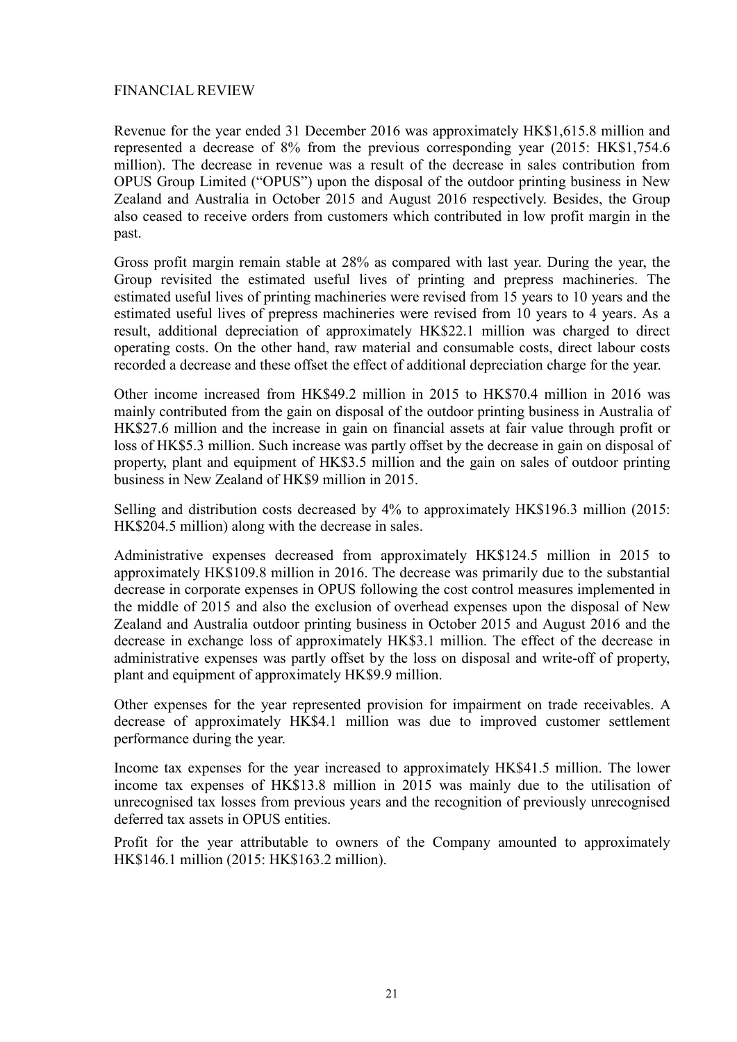# FINANCIAL REVIEW

Revenue for the year ended 31 December 2016 was approximately HK\$1,615.8 million and represented a decrease of 8% from the previous corresponding year (2015: HK\$1,754.6 million). The decrease in revenue was a result of the decrease in sales contribution from OPUS Group Limited ("OPUS") upon the disposal of the outdoor printing business in New Zealand and Australia in October 2015 and August 2016 respectively. Besides, the Group also ceased to receive orders from customers which contributed in low profit margin in the past.

Gross profit margin remain stable at 28% as compared with last year. During the year, the Group revisited the estimated useful lives of printing and prepress machineries. The estimated useful lives of printing machineries were revised from 15 years to 10 years and the estimated useful lives of prepress machineries were revised from 10 years to 4 years. As a result, additional depreciation of approximately HK\$22.1 million was charged to direct operating costs. On the other hand, raw material and consumable costs, direct labour costs recorded a decrease and these offset the effect of additional depreciation charge for the year.

Other income increased from HK\$49.2 million in 2015 to HK\$70.4 million in 2016 was mainly contributed from the gain on disposal of the outdoor printing business in Australia of HK\$27.6 million and the increase in gain on financial assets at fair value through profit or loss of HK\$5.3 million. Such increase was partly offset by the decrease in gain on disposal of property, plant and equipment of HK\$3.5 million and the gain on sales of outdoor printing business in New Zealand of HK\$9 million in 2015.

Selling and distribution costs decreased by 4% to approximately HK\$196.3 million (2015: HK\$204.5 million) along with the decrease in sales.

Administrative expenses decreased from approximately HK\$124.5 million in 2015 to approximately HK\$109.8 million in 2016. The decrease was primarily due to the substantial decrease in corporate expenses in OPUS following the cost control measures implemented in the middle of 2015 and also the exclusion of overhead expenses upon the disposal of New Zealand and Australia outdoor printing business in October 2015 and August 2016 and the decrease in exchange loss of approximately HK\$3.1 million. The effect of the decrease in administrative expenses was partly offset by the loss on disposal and write-off of property, plant and equipment of approximately HK\$9.9 million.

Other expenses for the year represented provision for impairment on trade receivables. A decrease of approximately HK\$4.1 million was due to improved customer settlement performance during the year.

Income tax expenses for the year increased to approximately HK\$41.5 million. The lower income tax expenses of HK\$13.8 million in 2015 was mainly due to the utilisation of unrecognised tax losses from previous years and the recognition of previously unrecognised deferred tax assets in OPUS entities.

Profit for the year attributable to owners of the Company amounted to approximately HK\$146.1 million (2015: HK\$163.2 million).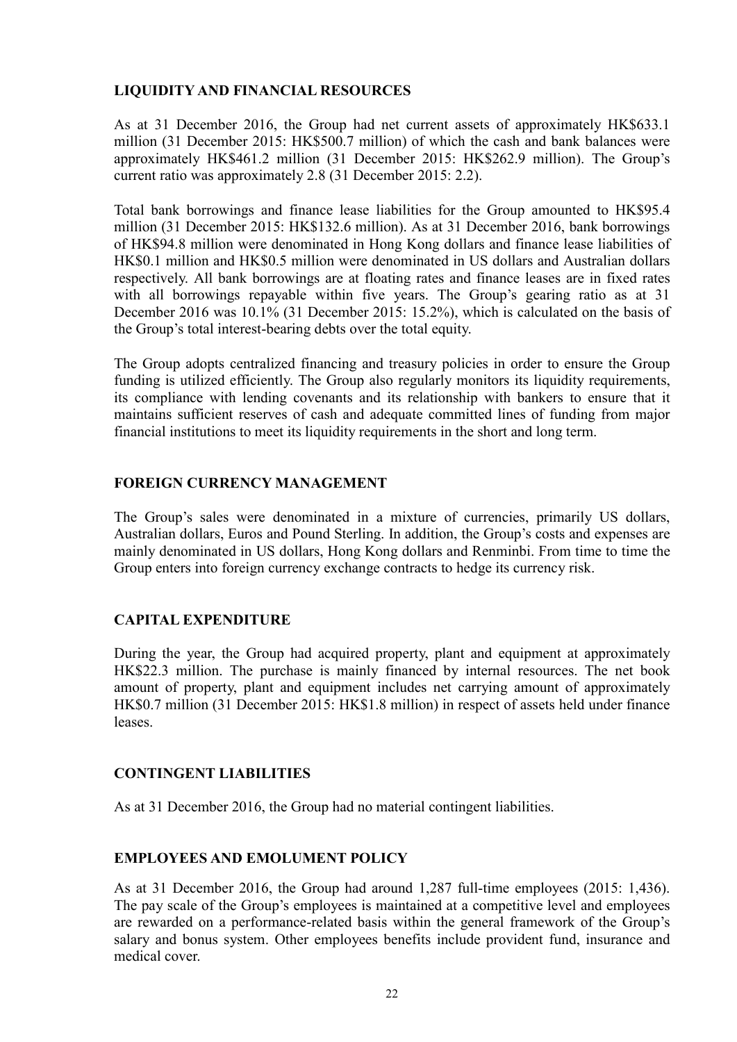# **LIQUIDITY AND FINANCIAL RESOURCES**

As at 31 December 2016, the Group had net current assets of approximately HK\$633.1 million (31 December 2015: HK\$500.7 million) of which the cash and bank balances were approximately HK\$461.2 million (31 December 2015: HK\$262.9 million). The Group's current ratio was approximately 2.8 (31 December 2015: 2.2).

Total bank borrowings and finance lease liabilities for the Group amounted to HK\$95.4 million (31 December 2015: HK\$132.6 million). As at 31 December 2016, bank borrowings of HK\$94.8 million were denominated in Hong Kong dollars and finance lease liabilities of HK\$0.1 million and HK\$0.5 million were denominated in US dollars and Australian dollars respectively. All bank borrowings are at floating rates and finance leases are in fixed rates with all borrowings repayable within five years. The Group's gearing ratio as at 31 December 2016 was 10.1% (31 December 2015: 15.2%), which is calculated on the basis of the Group's total interest-bearing debts over the total equity.

The Group adopts centralized financing and treasury policies in order to ensure the Group funding is utilized efficiently. The Group also regularly monitors its liquidity requirements, its compliance with lending covenants and its relationship with bankers to ensure that it maintains sufficient reserves of cash and adequate committed lines of funding from major financial institutions to meet its liquidity requirements in the short and long term.

# **FOREIGN CURRENCY MANAGEMENT**

The Group's sales were denominated in a mixture of currencies, primarily US dollars, Australian dollars, Euros and Pound Sterling. In addition, the Group's costs and expenses are mainly denominated in US dollars, Hong Kong dollars and Renminbi. From time to time the Group enters into foreign currency exchange contracts to hedge its currency risk.

# **CAPITAL EXPENDITURE**

During the year, the Group had acquired property, plant and equipment at approximately HK\$22.3 million. The purchase is mainly financed by internal resources. The net book amount of property, plant and equipment includes net carrying amount of approximately HK\$0.7 million (31 December 2015: HK\$1.8 million) in respect of assets held under finance leases.

# **CONTINGENT LIABILITIES**

As at 31 December 2016, the Group had no material contingent liabilities.

# **EMPLOYEES AND EMOLUMENT POLICY**

As at 31 December 2016, the Group had around 1,287 full-time employees (2015: 1,436). The pay scale of the Group's employees is maintained at a competitive level and employees are rewarded on a performance-related basis within the general framework of the Group's salary and bonus system. Other employees benefits include provident fund, insurance and medical cover.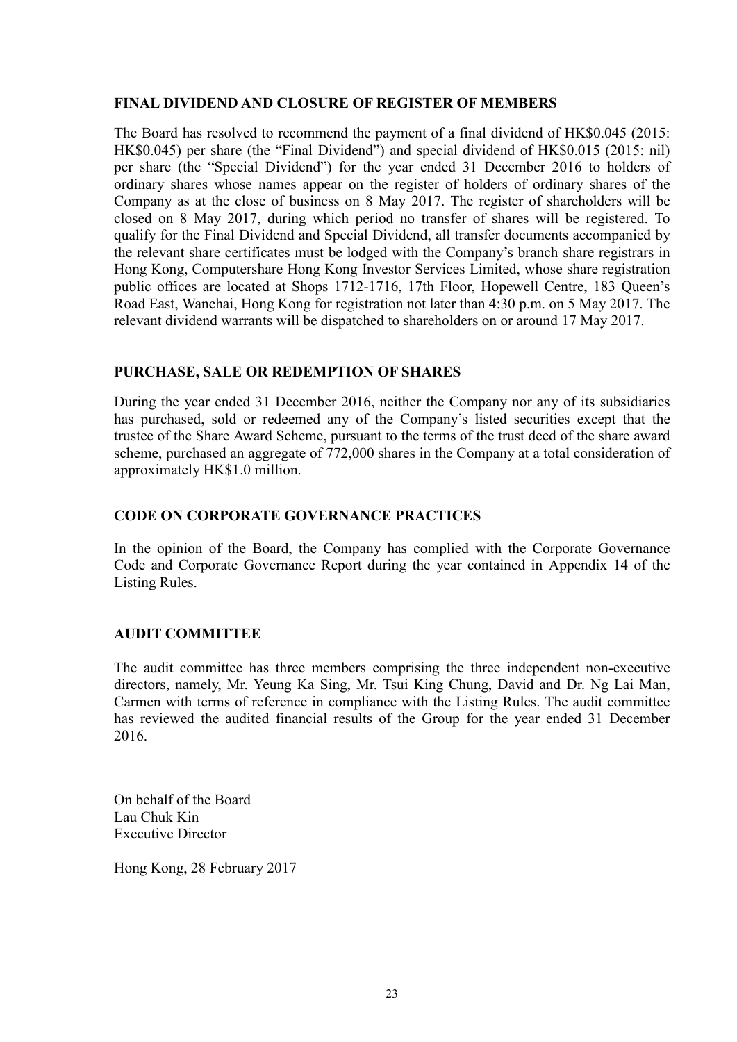# **FINAL DIVIDEND AND CLOSURE OF REGISTER OF MEMBERS**

The Board has resolved to recommend the payment of a final dividend of HK\$0.045 (2015: HK\$0.045) per share (the "Final Dividend") and special dividend of HK\$0.015 (2015: nil) per share (the "Special Dividend") for the year ended 31 December 2016 to holders of ordinary shares whose names appear on the register of holders of ordinary shares of the Company as at the close of business on 8 May 2017. The register of shareholders will be closed on 8 May 2017, during which period no transfer of shares will be registered. To qualify for the Final Dividend and Special Dividend, all transfer documents accompanied by the relevant share certificates must be lodged with the Company's branch share registrars in Hong Kong, Computershare Hong Kong Investor Services Limited, whose share registration public offices are located at Shops 1712-1716, 17th Floor, Hopewell Centre, 183 Queen's Road East, Wanchai, Hong Kong for registration not later than 4:30 p.m. on 5 May 2017. The relevant dividend warrants will be dispatched to shareholders on or around 17 May 2017.

# **PURCHASE, SALE OR REDEMPTION OF SHARES**

During the year ended 31 December 2016, neither the Company nor any of its subsidiaries has purchased, sold or redeemed any of the Company's listed securities except that the trustee of the Share Award Scheme, pursuant to the terms of the trust deed of the share award scheme, purchased an aggregate of 772,000 shares in the Company at a total consideration of approximately HK\$1.0 million.

# **CODE ON CORPORATE GOVERNANCE PRACTICES**

In the opinion of the Board, the Company has complied with the Corporate Governance Code and Corporate Governance Report during the year contained in Appendix 14 of the Listing Rules.

# **AUDIT COMMITTEE**

The audit committee has three members comprising the three independent non-executive directors, namely, Mr. Yeung Ka Sing, Mr. Tsui King Chung, David and Dr. Ng Lai Man, Carmen with terms of reference in compliance with the Listing Rules. The audit committee has reviewed the audited financial results of the Group for the year ended 31 December 2016.

On behalf of the Board Lau Chuk Kin Executive Director

Hong Kong, 28 February 2017